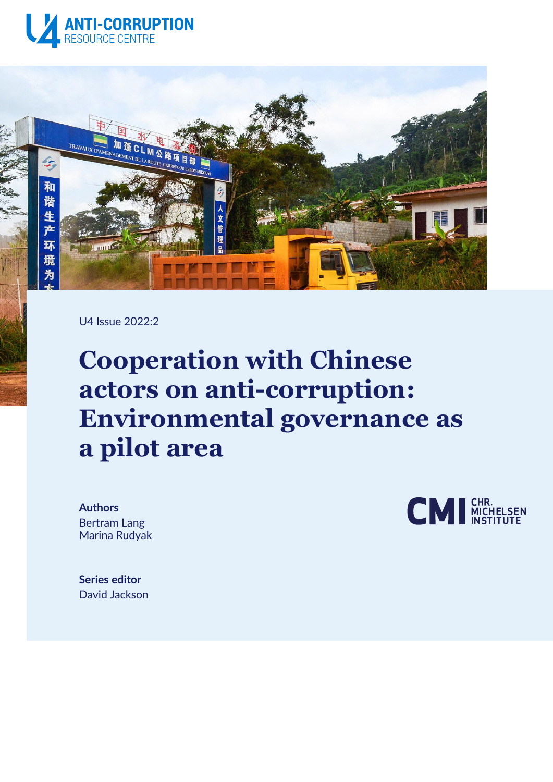



U4 Issue 2022:2

# **Cooperation with Chinese actors on anti-corruption: Environmental governance as a pilot area**

**Authors** Bertram Lang Marina Rudyak



**Series editor** David Jackson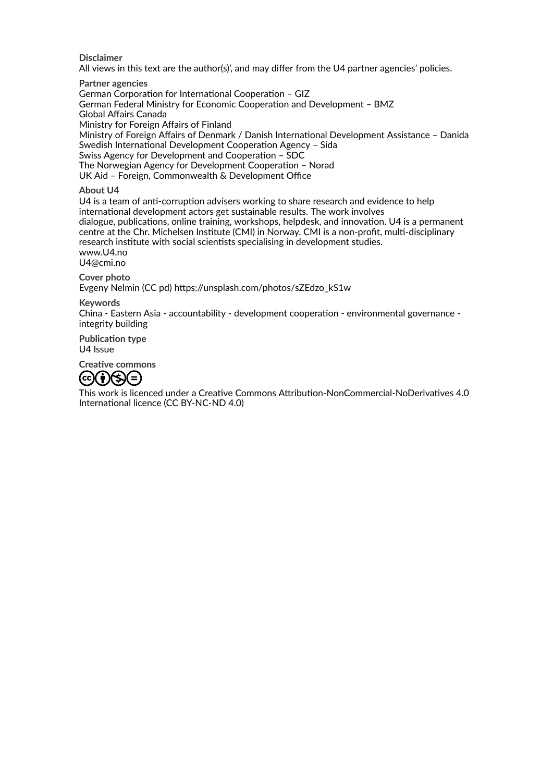**Disclaimer**

All views in this text are the author(s)', and may differ from the U4 partner agencies' policies.

**Partner agencies** German Corporation for International Cooperation – GIZ German Federal Ministry for Economic Cooperation and Development – BMZ Global Affairs Canada Ministry for Foreign Affairs of Finland Ministry of Foreign Affairs of Denmark / Danish International Development Assistance – Danida Swedish International Development Cooperation Agency – Sida Swiss Agency for Development and Cooperation – SDC The Norwegian Agency for Development Cooperation – Norad UK Aid – Foreign, Commonwealth & Development Office

#### **About U4**

U4 is a team of anti-corruption advisers working to share research and evidence to help international development actors get sustainable results. The work involves dialogue, publications, online training, workshops, helpdesk, and innovation. U4 is a permanent centre at the Chr. Michelsen Institute (CMI) in Norway. CMI is a non-profit, multi-disciplinary research institute with social scientists specialising in development studies. www.U4.no U4@cmi.no

**Cover photo**

Evgeny Nelmin (CC pd) [https://unsplash.com/photos/sZEdzo\\_kS1w](https://unsplash.com/photos/sZEdzo_kS1w)

#### **Keywords**

China - Eastern Asia - accountability - development cooperation - environmental governance integrity building

**Publication type**

U4 Issue

**Creative commons**



This work is licenced under a Creative Commons Attribution-NonCommercial-NoDerivatives 4.0 International licence (CC BY-NC-ND 4.0)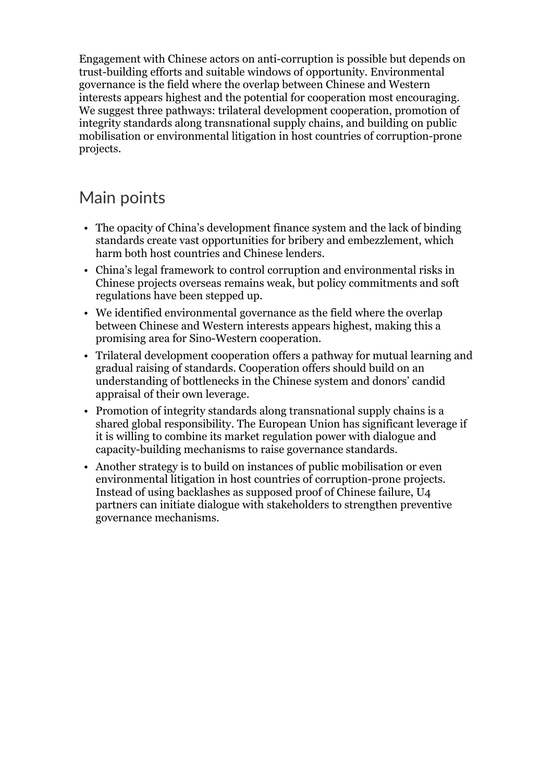Engagement with Chinese actors on anti-corruption is possible but depends on trust-building efforts and suitable windows of opportunity. Environmental governance is the field where the overlap between Chinese and Western interests appears highest and the potential for cooperation most encouraging. We suggest three pathways: trilateral development cooperation, promotion of integrity standards along transnational supply chains, and building on public mobilisation or environmental litigation in host countries of corruption-prone projects.

# Main points

- The opacity of China's development finance system and the lack of binding standards create vast opportunities for bribery and embezzlement, which harm both host countries and Chinese lenders.
- China's legal framework to control corruption and environmental risks in Chinese projects overseas remains weak, but policy commitments and soft regulations have been stepped up.
- We identified environmental governance as the field where the overlap between Chinese and Western interests appears highest, making this a promising area for Sino-Western cooperation.
- Trilateral development cooperation offers a pathway for mutual learning and gradual raising of standards. Cooperation offers should build on an understanding of bottlenecks in the Chinese system and donors' candid appraisal of their own leverage.
- Promotion of integrity standards along transnational supply chains is a shared global responsibility. The European Union has significant leverage if it is willing to combine its market regulation power with dialogue and capacity-building mechanisms to raise governance standards.
- Another strategy is to build on instances of public mobilisation or even environmental litigation in host countries of corruption-prone projects. Instead of using backlashes as supposed proof of Chinese failure, U4 partners can initiate dialogue with stakeholders to strengthen preventive governance mechanisms.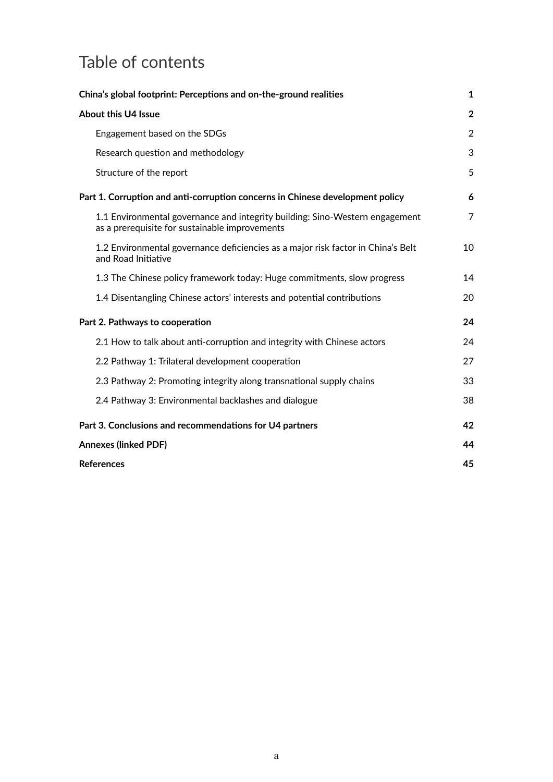# Table of contents

| China's global footprint: Perceptions and on-the-ground realities                                                              | 1            |
|--------------------------------------------------------------------------------------------------------------------------------|--------------|
| <b>About this U4 Issue</b>                                                                                                     | $\mathbf{2}$ |
| Engagement based on the SDGs                                                                                                   | 2            |
| Research question and methodology                                                                                              | 3            |
| Structure of the report                                                                                                        | 5            |
| Part 1. Corruption and anti-corruption concerns in Chinese development policy                                                  | 6            |
| 1.1 Environmental governance and integrity building: Sino-Western engagement<br>as a prerequisite for sustainable improvements | 7            |
| 1.2 Environmental governance deficiencies as a major risk factor in China's Belt<br>and Road Initiative                        | 10           |
| 1.3 The Chinese policy framework today: Huge commitments, slow progress                                                        | 14           |
| 1.4 Disentangling Chinese actors' interests and potential contributions                                                        | 20           |
| Part 2. Pathways to cooperation                                                                                                | 24           |
| 2.1 How to talk about anti-corruption and integrity with Chinese actors                                                        | 24           |
| 2.2 Pathway 1: Trilateral development cooperation                                                                              | 27           |
| 2.3 Pathway 2: Promoting integrity along transnational supply chains                                                           | 33           |
| 2.4 Pathway 3: Environmental backlashes and dialogue                                                                           | 38           |
| Part 3. Conclusions and recommendations for U4 partners                                                                        | 42           |
| <b>Annexes (linked PDF)</b>                                                                                                    | 44           |
| <b>References</b>                                                                                                              | 45           |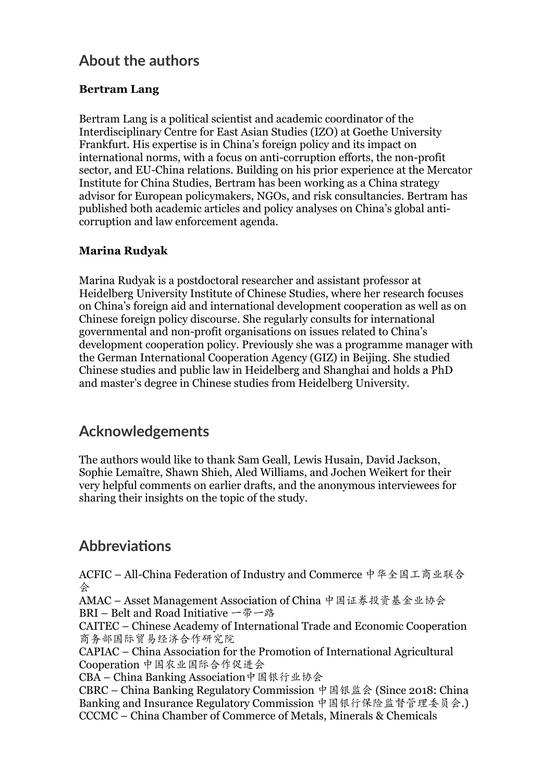# **About the authors**

#### **Bertram Lang**

Bertram Lang is a political scientist and academic coordinator of the Interdisciplinary Centre for East Asian Studies (IZO) at Goethe University Frankfurt. His expertise is in China's foreign policy and its impact on international norms, with a focus on anti-corruption efforts, the non-profit sector, and EU-China relations. Building on his prior experience at the Mercator Institute for China Studies, Bertram has been working as a China strategy advisor for European policymakers, NGOs, and risk consultancies. Bertram has published both academic articles and policy analyses on China's global anticorruption and law enforcement agenda.

#### **Marina Rudyak**

Marina Rudyak is a postdoctoral researcher and assistant professor at Heidelberg University Institute of Chinese Studies, where her research focuses on China's foreign aid and international development cooperation as well as on Chinese foreign policy discourse. She regularly consults for international governmental and non-profit organisations on issues related to China's development cooperation policy. Previously she was a programme manager with the German International Cooperation Agency (GIZ) in Beijing. She studied Chinese studies and public law in Heidelberg and Shanghai and holds a PhD and master's degree in Chinese studies from Heidelberg University.

### **Acknowledgements**

The authors would like to thank Sam Geall, Lewis Husain, David Jackson, Sophie Lemaître, Shawn Shieh, Aled Williams, and Jochen Weikert for their very helpful comments on earlier drafts, and the anonymous interviewees for sharing their insights on the topic of the study.

# **Abbreviations**

ACFIC – All-China Federation of Industry and Commerce 中华全国工商业联合 会

AMAC – Asset Management Association of China 中国证券投资基金业协会 BRI – Belt and Road Initiative 一带一路

CAITEC – Chinese Academy of International Trade and Economic Cooperation 商务部国际贸易经济合作研究院

CAPIAC – China Association for the Promotion of International Agricultural Cooperation 中国农业国际合作促进会

CBA – China Banking Association中国银行业协会

CBRC – China Banking Regulatory Commission 中国银监会 (Since 2018: China Banking and Insurance Regulatory Commission 中国银行保险监督管理委员会.) CCCMC – China Chamber of Commerce of Metals, Minerals & Chemicals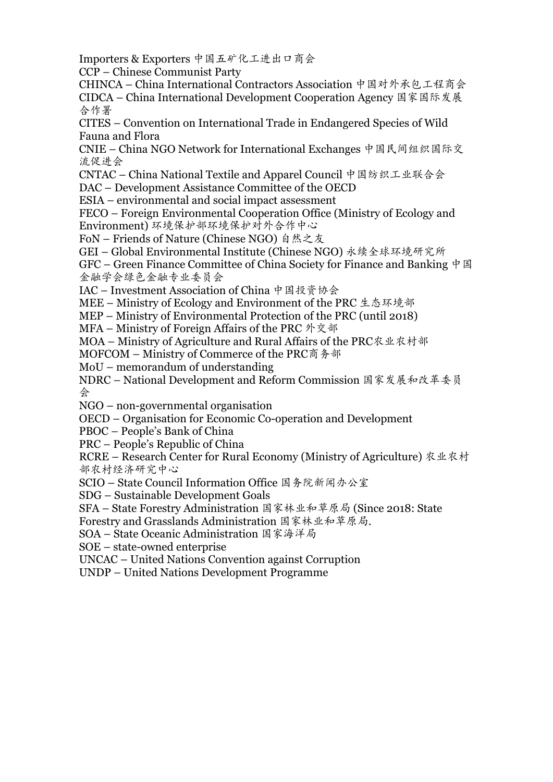Importers & Exporters 中国五矿化工进出口商会

CCP – Chinese Communist Party

CHINCA – China International Contractors Association 中国对外承包工程商会 CIDCA – China International Development Cooperation Agency 国家国际发展 合作署

CITES – Convention on International Trade in Endangered Species of Wild Fauna and Flora

CNIE – China NGO Network for International Exchanges 中国民间组织国际交 流促进会

CNTAC – China National Textile and Apparel Council 中国纺织工业联合会

DAC – Development Assistance Committee of the OECD

ESIA – environmental and social impact assessment

FECO – Foreign Environmental Cooperation Office (Ministry of Ecology and Environment) 环境保护部环境保护对外合作中心

FoN – Friends of Nature (Chinese NGO) 自然之友

GEI – Global Environmental Institute (Chinese NGO) 永续全球环境研究所

GFC – Green Finance Committee of China Society for Finance and Banking  $\uparrow \boxtimes$ 金融学会绿色金融专业委员会

IAC – Investment Association of China 中国投资协会

MEE – Ministry of Ecology and Environment of the PRC 生态环境部

MEP – Ministry of Environmental Protection of the PRC (until 2018)

MFA – Ministry of Foreign Affairs of the PRC 外交部

MOA – Ministry of Agriculture and Rural Affairs of the PRC农业农村部

MOFCOM – Ministry of Commerce of the PRC商务部

MoU – memorandum of understanding

NDRC – National Development and Reform Commission 国家发展和改革委员 会

NGO – non-governmental organisation

OECD – Organisation for Economic Co-operation and Development

PBOC – People's Bank of China

PRC – People's Republic of China

RCRE – Research Center for Rural Economy (Ministry of Agriculture) 农业农村 部农村经济研究中心

SCIO – State Council Information Office 国务院新闻办公室

SDG – Sustainable Development Goals

SFA – State Forestry Administration 国家林业和草原局 (Since 2018: State

Forestry and Grasslands Administration 国家林业和草原局.

SOA – State Oceanic Administration 国家海洋局

SOE – state-owned enterprise

UNCAC – United Nations Convention against Corruption

UNDP – United Nations Development Programme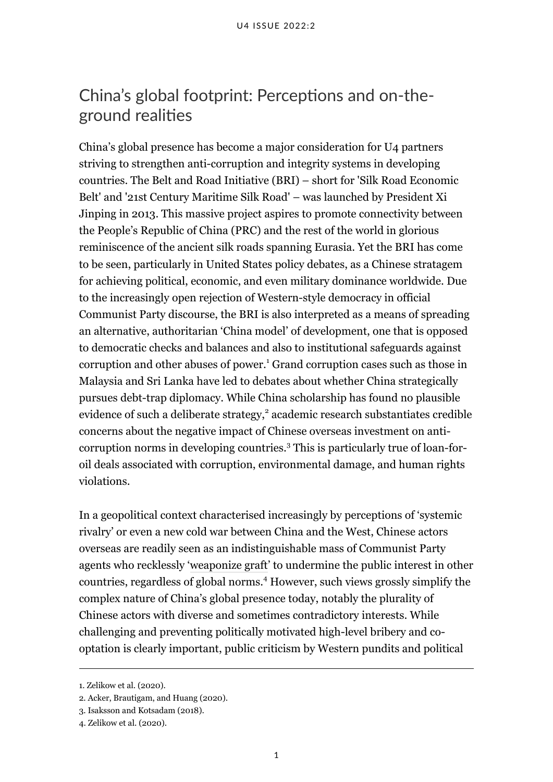# <span id="page-6-0"></span>China's global footprint: Perceptions and on-theground realities

China's global presence has become a major consideration for U4 partners striving to strengthen anti-corruption and integrity systems in developing countries. The Belt and Road Initiative (BRI) – short for 'Silk Road Economic Belt' and '21st Century Maritime Silk Road' – was launched by President Xi Jinping in 2013. This massive project aspires to promote connectivity between the People's Republic of China (PRC) and the rest of the world in glorious reminiscence of the ancient silk roads spanning Eurasia. Yet the BRI has come to be seen, particularly in United States policy debates, as a Chinese stratagem for achieving political, economic, and even military dominance worldwide. Due to the increasingly open rejection of Western-style democracy in official Communist Party discourse, the BRI is also interpreted as a means of spreading an alternative, authoritarian 'China model' of development, one that is opposed to democratic checks and balances and also to institutional safeguards against corruption and other abuses of power.<sup>1</sup> Grand corruption cases such as those in Malaysia and Sri Lanka have led to debates about whether China strategically pursues debt-trap diplomacy. While China scholarship has found no plausible evidence of such a deliberate strategy,<sup>2</sup> academic research substantiates credible concerns about the negative impact of Chinese overseas investment on anticorruption norms in developing countries.<sup>3</sup> This is particularly true of loan-foroil deals associated with corruption, environmental damage, and human rights violations.

In a geopolitical context characterised increasingly by perceptions of 'systemic rivalry' or even a new cold war between China and the West, Chinese actors overseas are readily seen as an indistinguishable mass of Communist Party agents who recklessly '[weaponize graft](https://www.foreignaffairs.com/articles/united-states/2020-06-09/rise-strategic-corruption)' to undermine the public interest in other countries, regardless of global norms.<sup>4</sup> However, such views grossly simplify the complex nature of China's global presence today, notably the plurality of Chinese actors with diverse and sometimes contradictory interests. While challenging and preventing politically motivated high-level bribery and cooptation is clearly important, public criticism by Western pundits and political

<sup>1.</sup> Zelikow et al. (2020).

<sup>2.</sup> Acker, Brautigam, and Huang (2020).

<sup>3.</sup> Isaksson and Kotsadam (2018).

<sup>4.</sup> Zelikow et al. (2020).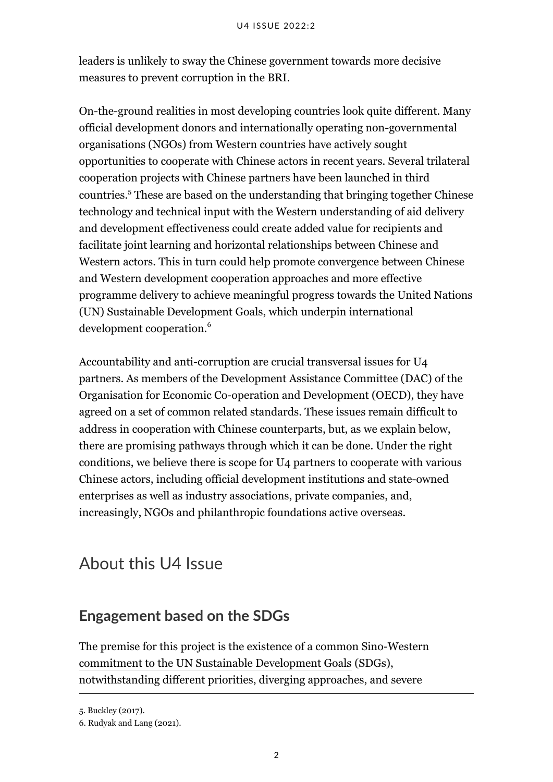leaders is unlikely to sway the Chinese government towards more decisive measures to prevent corruption in the BRI.

On-the-ground realities in most developing countries look quite different. Many official development donors and internationally operating non-governmental organisations (NGOs) from Western countries have actively sought opportunities to cooperate with Chinese actors in recent years. Several trilateral cooperation projects with Chinese partners have been launched in third countries.<sup>5</sup> These are based on the understanding that bringing together Chinese technology and technical input with the Western understanding of aid delivery and development effectiveness could create added value for recipients and facilitate joint learning and horizontal relationships between Chinese and Western actors. This in turn could help promote convergence between Chinese and Western development cooperation approaches and more effective programme delivery to achieve meaningful progress towards the United Nations (UN) Sustainable Development Goals, which underpin international development cooperation.<sup>6</sup>

Accountability and anti-corruption are crucial transversal issues for U4 partners. As members of the Development Assistance Committee (DAC) of the Organisation for Economic Co-operation and Development (OECD), they have agreed on a set of common related standards. These issues remain difficult to address in cooperation with Chinese counterparts, but, as we explain below, there are promising pathways through which it can be done. Under the right conditions, we believe there is scope for U4 partners to cooperate with various Chinese actors, including official development institutions and state-owned enterprises as well as industry associations, private companies, and, increasingly, NGOs and philanthropic foundations active overseas.

# <span id="page-7-0"></span>About this U4 Issue

# <span id="page-7-1"></span>**Engagement based on the SDGs**

The premise for this project is the existence of a common Sino-Western [commitment to the UN Sustainable Development Goals](https://ec.europa.eu/international-partnerships/where-we-work/china_en) (SDGs), notwithstanding different priorities, diverging approaches, and severe

<sup>5.</sup> Buckley (2017).

<sup>6.</sup> Rudyak and Lang (2021).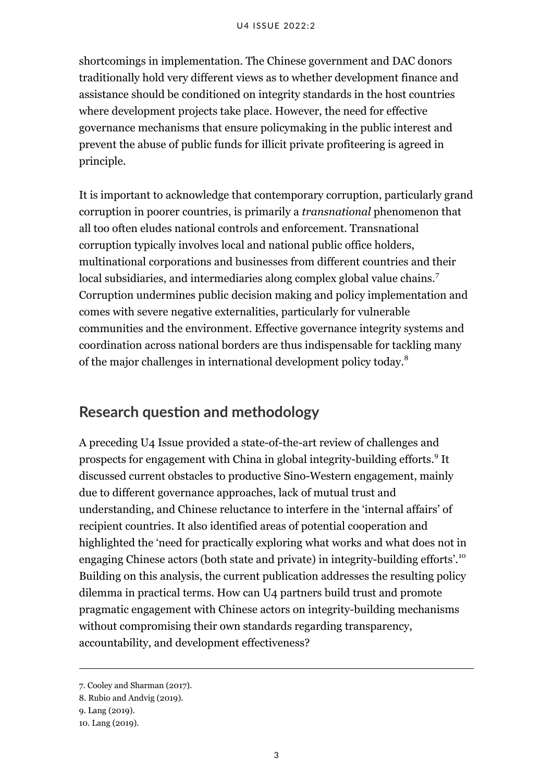shortcomings in implementation. The Chinese government and DAC donors traditionally hold very different views as to whether development finance and assistance should be conditioned on integrity standards in the host countries where development projects take place. However, the need for effective governance mechanisms that ensure policymaking in the public interest and prevent the abuse of public funds for illicit private profiteering is agreed in principle.

It is important to acknowledge that contemporary corruption, particularly grand corruption in poorer countries, is primarily a *[transnational](https://thestrategybridge.org/the-bridge/2021/4/12/the-strategic-cost-of-transnational-corruption)* phenomenon that all too often eludes national controls and enforcement. Transnational corruption typically involves local and national public office holders, multinational corporations and businesses from different countries and their local subsidiaries, and intermediaries along complex global value chains.<sup>7</sup> Corruption undermines public decision making and policy implementation and comes with severe negative externalities, particularly for vulnerable communities and the environment. Effective governance integrity systems and coordination across national borders are thus indispensable for tackling many of the major challenges in international development policy today.<sup>8</sup>

### <span id="page-8-0"></span>**Research question and methodology**

A preceding U4 Issue provided a state-of-the-art review of challenges and prospects for engagement with China in global integrity-building efforts.<sup>9</sup> It discussed current obstacles to productive Sino-Western engagement, mainly due to different governance approaches, lack of mutual trust and understanding, and Chinese reluctance to interfere in the 'internal affairs' of recipient countries. It also identified areas of potential cooperation and highlighted the 'need for practically exploring what works and what does not in engaging Chinese actors (both state and private) in integrity-building efforts'.<sup>10</sup> Building on this analysis, the current publication addresses the resulting policy dilemma in practical terms. How can U4 partners build trust and promote pragmatic engagement with Chinese actors on integrity-building mechanisms without compromising their own standards regarding transparency, accountability, and development effectiveness?

<sup>7.</sup> Cooley and Sharman (2017).

<sup>8.</sup> Rubio and Andvig (2019).

<sup>9.</sup> Lang (2019).

<sup>10.</sup> Lang (2019).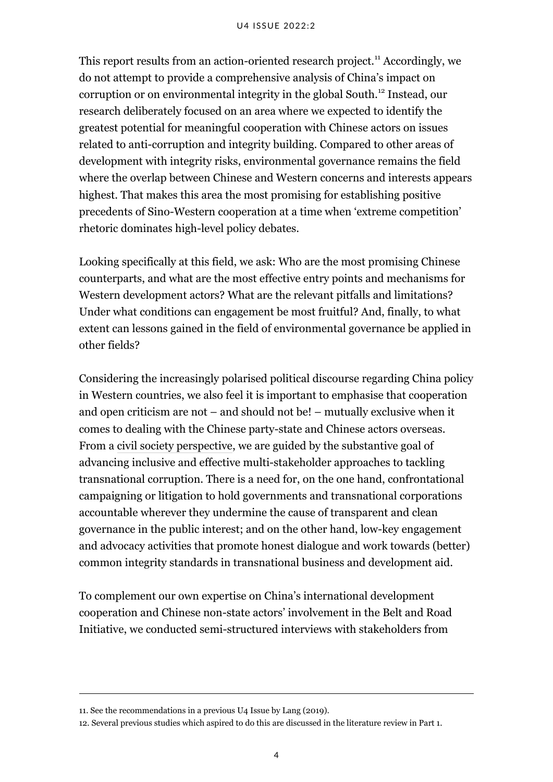#### U4 ISSUE 2022:2

This report results from an action-oriented research project.<sup>11</sup> Accordingly, we do not attempt to provide a comprehensive analysis of China's impact on corruption or on environmental integrity in the global South.<sup>12</sup> Instead, our research deliberately focused on an area where we expected to identify the greatest potential for meaningful cooperation with Chinese actors on issues related to anti-corruption and integrity building. Compared to other areas of development with integrity risks, environmental governance remains the field where the overlap between Chinese and Western concerns and interests appears highest. That makes this area the most promising for establishing positive precedents of Sino-Western cooperation at a time when 'extreme competition' rhetoric dominates high-level policy debates.

Looking specifically at this field, we ask: Who are the most promising Chinese counterparts, and what are the most effective entry points and mechanisms for Western development actors? What are the relevant pitfalls and limitations? Under what conditions can engagement be most fruitful? And, finally, to what extent can lessons gained in the field of environmental governance be applied in other fields?

Considering the increasingly polarised political discourse regarding China policy in Western countries, we also feel it is important to emphasise that cooperation and open criticism are not – and should not be! – mutually exclusive when it comes to dealing with the Chinese party-state and Chinese actors overseas. From a [civil society perspective](https://icscentre.org/wp-content/uploads/2019/11/StH-Sector-Guide-China-November-2019.pdf), we are guided by the substantive goal of advancing inclusive and effective multi-stakeholder approaches to tackling transnational corruption. There is a need for, on the one hand, confrontational campaigning or litigation to hold governments and transnational corporations accountable wherever they undermine the cause of transparent and clean governance in the public interest; and on the other hand, low-key engagement and advocacy activities that promote honest dialogue and work towards (better) common integrity standards in transnational business and development aid.

To complement our own expertise on China's international development cooperation and Chinese non-state actors' involvement in the Belt and Road Initiative, we conducted semi-structured interviews with stakeholders from

<sup>11.</sup> See the recommendations in a previous U4 Issue by Lang (2019).

<sup>12.</sup> Several previous studies which aspired to do this are discussed in the literature review in Part 1.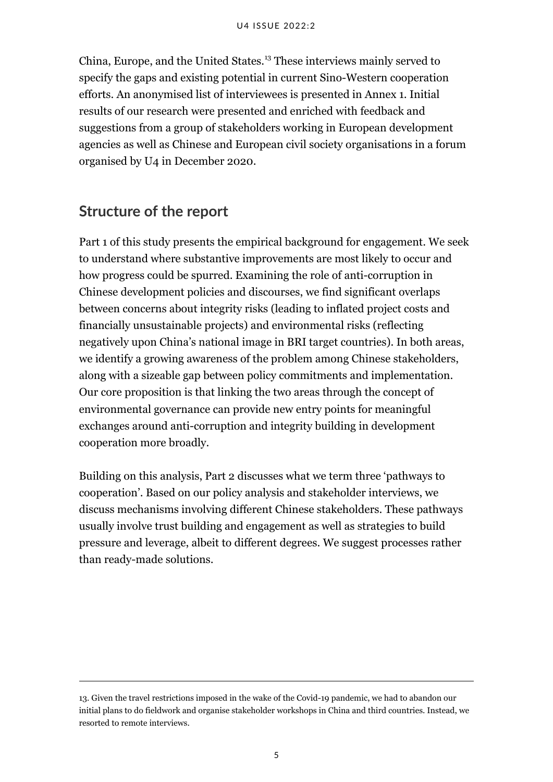China, Europe, and the United States.<sup>13</sup> These interviews mainly served to specify the gaps and existing potential in current Sino-Western cooperation efforts. An anonymised list of interviewees is presented in Annex 1. Initial results of our research were presented and enriched with feedback and suggestions from a group of stakeholders working in European development agencies as well as Chinese and European civil society organisations in a forum organised by U4 in December 2020.

### <span id="page-10-0"></span>**Structure of the report**

Part 1 of this study presents the empirical background for engagement. We seek to understand where substantive improvements are most likely to occur and how progress could be spurred. Examining the role of anti-corruption in Chinese development policies and discourses, we find significant overlaps between concerns about integrity risks (leading to inflated project costs and financially unsustainable projects) and environmental risks (reflecting negatively upon China's national image in BRI target countries). In both areas, we identify a growing awareness of the problem among Chinese stakeholders, along with a sizeable gap between policy commitments and implementation. Our core proposition is that linking the two areas through the concept of environmental governance can provide new entry points for meaningful exchanges around anti-corruption and integrity building in development cooperation more broadly.

Building on this analysis, Part 2 discusses what we term three 'pathways to cooperation'. Based on our policy analysis and stakeholder interviews, we discuss mechanisms involving different Chinese stakeholders. These pathways usually involve trust building and engagement as well as strategies to build pressure and leverage, albeit to different degrees. We suggest processes rather than ready-made solutions.

<sup>13.</sup> Given the travel restrictions imposed in the wake of the Covid-19 pandemic, we had to abandon our initial plans to do fieldwork and organise stakeholder workshops in China and third countries. Instead, we resorted to remote interviews.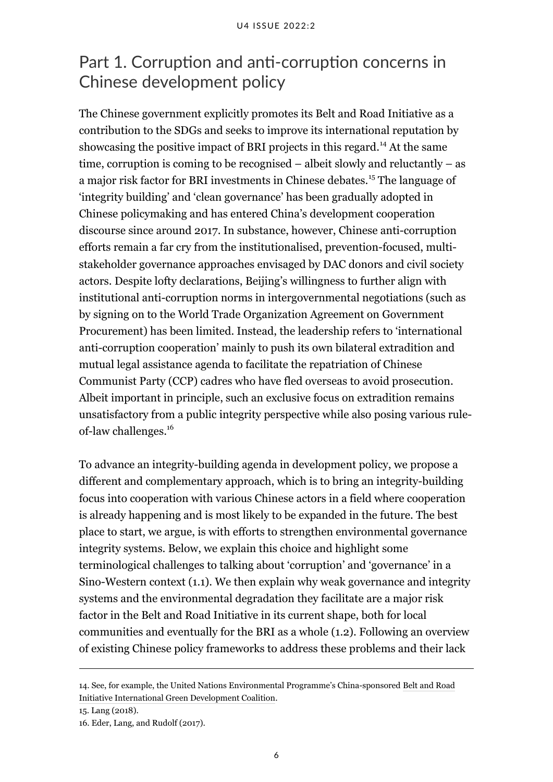# <span id="page-11-0"></span>Part 1. Corruption and anti-corruption concerns in Chinese development policy

The Chinese government explicitly promotes its Belt and Road Initiative as a contribution to the SDGs and seeks to improve its international reputation by showcasing the positive impact of BRI projects in this regard.<sup>14</sup> At the same time, corruption is coming to be recognised – albeit slowly and reluctantly – as a major risk factor for BRI investments in Chinese debates.<sup>15</sup> The language of 'integrity building' and 'clean governance' has been gradually adopted in Chinese policymaking and has entered China's development cooperation discourse since around 2017. In substance, however, Chinese anti-corruption efforts remain a far cry from the institutionalised, prevention-focused, multistakeholder governance approaches envisaged by DAC donors and civil society actors. Despite lofty declarations, Beijing's willingness to further align with institutional anti-corruption norms in intergovernmental negotiations (such as by signing on to the World Trade Organization Agreement on Government Procurement) has been limited. Instead, the leadership refers to 'international anti-corruption cooperation' mainly to push its own bilateral extradition and mutual legal assistance agenda to facilitate the repatriation of Chinese Communist Party (CCP) cadres who have fled overseas to avoid prosecution. Albeit important in principle, such an exclusive focus on extradition remains unsatisfactory from a public integrity perspective while also posing various ruleof-law challenges.<sup>16</sup>

To advance an integrity-building agenda in development policy, we propose a different and complementary approach, which is to bring an integrity-building focus into cooperation with various Chinese actors in a field where cooperation is already happening and is most likely to be expanded in the future. The best place to start, we argue, is with efforts to strengthen environmental governance integrity systems. Below, we explain this choice and highlight some terminological challenges to talking about 'corruption' and 'governance' in a Sino-Western context (1.1). We then explain why weak governance and integrity systems and the environmental degradation they facilitate are a major risk factor in the Belt and Road Initiative in its current shape, both for local communities and eventually for the BRI as a whole (1.2). Following an overview of existing Chinese policy frameworks to address these problems and their lack

<sup>14.</sup> See, for example, the United Nations Environmental Programme's China-sponsored [Belt and Road](https://www.unep.org/regions/asia-and-pacific/regional-initiatives/belt-and-road-initiative-international-green) [Initiative International Green Development Coalition.](https://www.unep.org/regions/asia-and-pacific/regional-initiatives/belt-and-road-initiative-international-green)

<sup>15.</sup> Lang (2018).

<sup>16.</sup> Eder, Lang, and Rudolf (2017).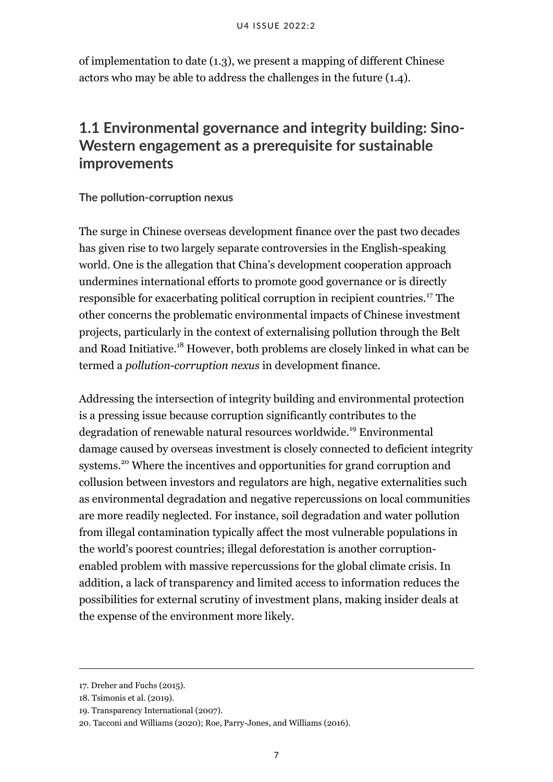of implementation to date (1.3), we present a mapping of different Chinese actors who may be able to address the challenges in the future (1.4).

# <span id="page-12-0"></span>**1.1 Environmental governance and integrity building: Sino-Western engagement as a prerequisite for sustainable improvements**

#### **The pollution-corruption nexus**

The surge in Chinese overseas development finance over the past two decades has given rise to two largely separate controversies in the English-speaking world. One is the allegation that China's development cooperation approach undermines international efforts to promote good governance or is directly responsible for exacerbating political corruption in recipient countries.<sup>17</sup> The other concerns the problematic environmental impacts of Chinese investment projects, particularly in the context of externalising pollution through the Belt and Road Initiative.<sup>18</sup> However, both problems are closely linked in what can be termed a *pollution-corruption nexus* in development finance.

Addressing the intersection of integrity building and environmental protection is a pressing issue because corruption significantly contributes to the degradation of renewable natural resources worldwide.<sup>19</sup> Environmental damage caused by overseas investment is closely connected to deficient integrity systems.<sup>20</sup> Where the incentives and opportunities for grand corruption and collusion between investors and regulators are high, negative externalities such as environmental degradation and negative repercussions on local communities are more readily neglected. For instance, soil degradation and water pollution from illegal contamination typically affect the most vulnerable populations in the world's poorest countries; illegal deforestation is another corruptionenabled problem with massive repercussions for the global climate crisis. In addition, a lack of transparency and limited access to information reduces the possibilities for external scrutiny of investment plans, making insider deals at the expense of the environment more likely.

<sup>17.</sup> Dreher and Fuchs (2015).

<sup>18.</sup> Tsimonis et al. (2019).

<sup>19.</sup> Transparency International (2007).

<sup>20.</sup> Tacconi and Williams (2020); Roe, Parry-Jones, and Williams (2016).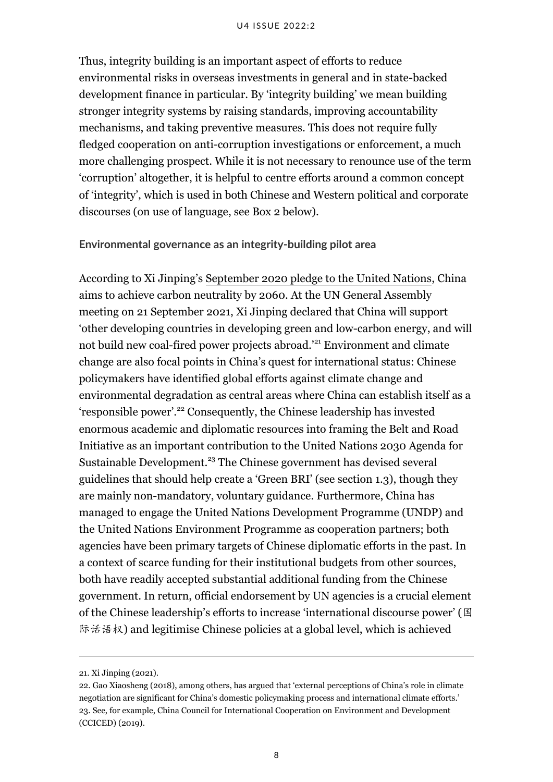#### U4 ISSUE 2022:2

Thus, integrity building is an important aspect of efforts to reduce environmental risks in overseas investments in general and in state-backed development finance in particular. By 'integrity building' we mean building stronger integrity systems by raising standards, improving accountability mechanisms, and taking preventive measures. This does not require fully fledged cooperation on anti-corruption investigations or enforcement, a much more challenging prospect. While it is not necessary to renounce use of the term 'corruption' altogether, it is helpful to centre efforts around a common concept of 'integrity', which is used in both Chinese and Western political and corporate discourses (on use of language, see Box 2 below).

#### **Environmental governance as an integrity-building pilot area**

According to Xi Jinping's [September 2020 pledge to the United Nations,](http://www.xinhuanet.com/english/2020-09/23/c_139388764.htm) China aims to achieve carbon neutrality by 2060. At the UN General Assembly meeting on 21 September 2021, Xi Jinping declared that China will support 'other developing countries in developing green and low-carbon energy, and will not build new coal-fired power projects abroad.'<sup>21</sup> Environment and climate change are also focal points in China's quest for international status: Chinese policymakers have identified global efforts against climate change and environmental degradation as central areas where China can establish itself as a 'responsible power'.<sup>22</sup> Consequently, the Chinese leadership has invested enormous academic and diplomatic resources into framing the Belt and Road Initiative as an important contribution to the United Nations 2030 Agenda for Sustainable Development.<sup>23</sup> The Chinese government has devised several guidelines that should help create a 'Green BRI' (see section 1.3), though they are mainly non-mandatory, voluntary guidance. Furthermore, China has managed to engage the United Nations Development Programme (UNDP) and the United Nations Environment Programme as cooperation partners; both agencies have been primary targets of Chinese diplomatic efforts in the past. In a context of scarce funding for their institutional budgets from other sources, both have readily accepted substantial additional funding from the Chinese government. In return, official endorsement by UN agencies is a crucial element of the Chinese leadership's efforts to increase 'international discourse power' (国 际话语权) and legitimise Chinese policies at a global level, which is achieved

<sup>21.</sup> Xi Jinping (2021).

<sup>22.</sup> Gao Xiaosheng (2018), among others, has argued that 'external perceptions of China's role in climate negotiation are significant for China's domestic policymaking process and international climate efforts.' 23. See, for example, China Council for International Cooperation on Environment and Development (CCICED) (2019).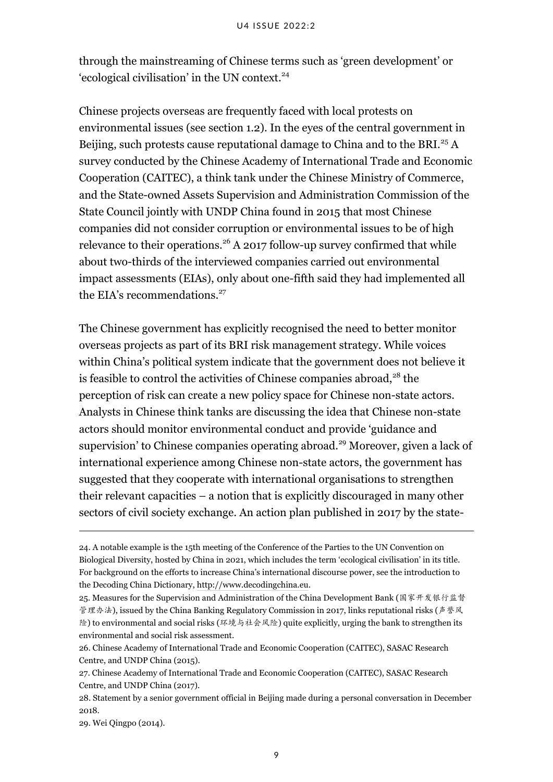through the mainstreaming of Chinese terms such as 'green development' or 'ecological civilisation' in the UN context.<sup>24</sup>

Chinese projects overseas are frequently faced with local protests on environmental issues (see section 1.2). In the eyes of the central government in Beijing, such protests cause reputational damage to China and to the BRI.<sup>25</sup> A survey conducted by the Chinese Academy of International Trade and Economic Cooperation (CAITEC), a think tank under the Chinese Ministry of Commerce, and the State-owned Assets Supervision and Administration Commission of the State Council jointly with UNDP China found in 2015 that most Chinese companies did not consider corruption or environmental issues to be of high relevance to their operations.<sup>26</sup> A 2017 follow-up survey confirmed that while about two-thirds of the interviewed companies carried out environmental impact assessments (EIAs), only about one-fifth said they had implemented all the EIA's recommendations.<sup>27</sup>

The Chinese government has explicitly recognised the need to better monitor overseas projects as part of its BRI risk management strategy. While voices within China's political system indicate that the government does not believe it is feasible to control the activities of Chinese companies abroad, $28$  the perception of risk can create a new policy space for Chinese non-state actors. Analysts in Chinese think tanks are discussing the idea that Chinese non-state actors should monitor environmental conduct and provide 'guidance and supervision' to Chinese companies operating abroad.<sup>29</sup> Moreover, given a lack of international experience among Chinese non-state actors, the government has suggested that they cooperate with international organisations to strengthen their relevant capacities – a notion that is explicitly discouraged in many other sectors of civil society exchange. An action plan published in 2017 by the state-

<sup>24.</sup> A notable example is the 15th meeting of the Conference of the Parties to the UN Convention on Biological Diversity, hosted by China in 2021, which includes the term 'ecological civilisation' in its title. For background on the efforts to increase China's international discourse power, see the introduction to the Decoding China Dictionary, [http://www.decodingchina.eu](http://www.decodingchina.eu/).

<sup>25.</sup> Measures for the Supervision and Administration of the China Development Bank (国家开发银行监督 管理办法), issued by the China Banking Regulatory Commission in 2017, links reputational risks (声誉风 险) to environmental and social risks (环境与社会风险) quite explicitly, urging the bank to strengthen its environmental and social risk assessment.

<sup>26.</sup> Chinese Academy of International Trade and Economic Cooperation (CAITEC), SASAC Research Centre, and UNDP China (2015).

<sup>27.</sup> Chinese Academy of International Trade and Economic Cooperation (CAITEC), SASAC Research Centre, and UNDP China (2017).

<sup>28.</sup> Statement by a senior government official in Beijing made during a personal conversation in December 2018.

<sup>29.</sup> Wei Qingpo (2014).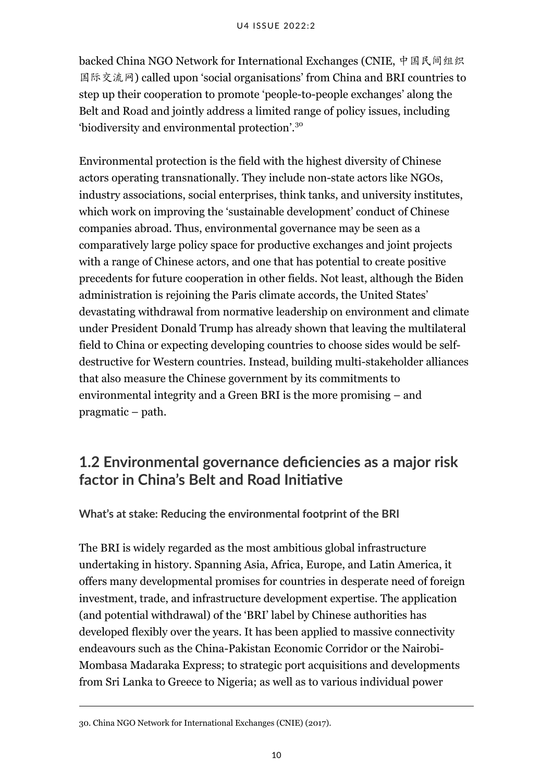backed China NGO Network for International Exchanges (CNIE, 中国民间组织 国际交流网) called upon 'social organisations' from China and BRI countries to step up their cooperation to promote 'people-to-people exchanges' along the Belt and Road and jointly address a limited range of policy issues, including 'biodiversity and environmental protection'.<sup>30</sup>

Environmental protection is the field with the highest diversity of Chinese actors operating transnationally. They include non-state actors like NGOs, industry associations, social enterprises, think tanks, and university institutes, which work on improving the 'sustainable development' conduct of Chinese companies abroad. Thus, environmental governance may be seen as a comparatively large policy space for productive exchanges and joint projects with a range of Chinese actors, and one that has potential to create positive precedents for future cooperation in other fields. Not least, although the Biden administration is rejoining the Paris climate accords, the United States' devastating withdrawal from normative leadership on environment and climate under President Donald Trump has already shown that leaving the multilateral field to China or expecting developing countries to choose sides would be selfdestructive for Western countries. Instead, building multi-stakeholder alliances that also measure the Chinese government by its commitments to environmental integrity and a Green BRI is the more promising – and pragmatic – path.

# <span id="page-15-0"></span>**1.2 Environmental governance deficiencies as a major risk factor in China's Belt and Road Initiative**

#### **What's at stake: Reducing the environmental footprint of the BRI**

The BRI is widely regarded as the most ambitious global infrastructure undertaking in history. Spanning Asia, Africa, Europe, and Latin America, it offers many developmental promises for countries in desperate need of foreign investment, trade, and infrastructure development expertise. The application (and potential withdrawal) of the 'BRI' label by Chinese authorities has developed flexibly over the years. It has been applied to massive connectivity endeavours such as the China-Pakistan Economic Corridor or the Nairobi-Mombasa Madaraka Express; to strategic port acquisitions and developments from Sri Lanka to Greece to Nigeria; as well as to various individual power

<sup>30.</sup> China NGO Network for International Exchanges (CNIE) (2017).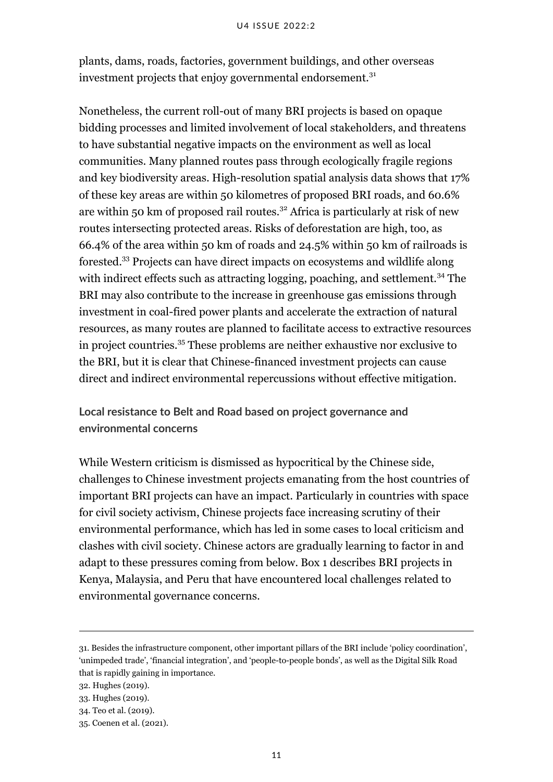plants, dams, roads, factories, government buildings, and other overseas investment projects that enjoy governmental endorsement.<sup>31</sup>

Nonetheless, the current roll-out of many BRI projects is based on opaque bidding processes and limited involvement of local stakeholders, and threatens to have substantial negative impacts on the environment as well as local communities. Many planned routes pass through ecologically fragile regions and key biodiversity areas. High-resolution spatial analysis data shows that 17% of these key areas are within 50 kilometres of proposed BRI roads, and 60.6% are within 50 km of proposed rail routes.<sup>32</sup> Africa is particularly at risk of new routes intersecting protected areas. Risks of deforestation are high, too, as 66.4% of the area within 50 km of roads and 24.5% within 50 km of railroads is forested.<sup>33</sup> Projects can have direct impacts on ecosystems and wildlife along with indirect effects such as attracting logging, poaching, and settlement.<sup>34</sup> The BRI may also contribute to the increase in greenhouse gas emissions through investment in coal-fired power plants and accelerate the extraction of natural resources, as many routes are planned to facilitate access to extractive resources in project countries.<sup>35</sup> These problems are neither exhaustive nor exclusive to the BRI, but it is clear that Chinese-financed investment projects can cause direct and indirect environmental repercussions without effective mitigation.

**Local resistance to Belt and Road based on project governance and environmental concerns**

While Western criticism is dismissed as hypocritical by the Chinese side, challenges to Chinese investment projects emanating from the host countries of important BRI projects can have an impact. Particularly in countries with space for civil society activism, Chinese projects face increasing scrutiny of their environmental performance, which has led in some cases to local criticism and clashes with civil society. Chinese actors are gradually learning to factor in and adapt to these pressures coming from below. Box 1 describes BRI projects in Kenya, Malaysia, and Peru that have encountered local challenges related to environmental governance concerns.

<sup>31.</sup> Besides the infrastructure component, other important pillars of the BRI include 'policy coordination', 'unimpeded trade', 'financial integration', and 'people-to-people bonds', as well as the Digital Silk Road that is rapidly gaining in importance.

<sup>32.</sup> Hughes (2019).

<sup>33.</sup> Hughes (2019).

<sup>34.</sup> Teo et al. (2019).

<sup>35.</sup> Coenen et al. (2021).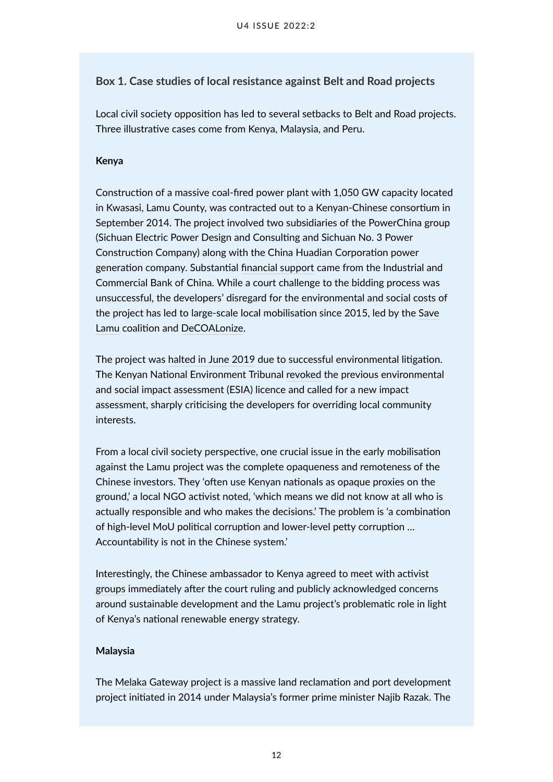#### **Box 1. Case studies of local resistance against Belt and Road projects**

Local civil society opposition has led to several setbacks to Belt and Road projects. Three illustrative cases come from Kenya, Malaysia, and Peru.

#### **Kenya**

Construction of a massive coal-fired power plant with 1,050 GW capacity located in Kwasasi, Lamu County, was contracted out to a Kenyan-Chinese consortium in September 2014. The project involved two subsidiaries of the PowerChina group (Sichuan Electric Power Design and Consulting and Sichuan No. 3 Power Construction Company) along with the China Huadian Corporation power generation company. Substantial [financial support](https://green-bri.org/kenyas-lamu-coal-fired-power-plant-lessons-learnt-for-green-development-and-investments-in-the-bri/) came from the Industrial and Commercial Bank of China. While a court challenge to the bidding process was unsuccessful, the developers' disregard for the environmental and social costs of the project has led to large-scale local mobilisation since 2015, led by the [Save](https://www.savelamu.org/) [Lamu](https://www.savelamu.org/) coalition and [DeCOALonize](https://www.decoalonize.org/).

The project was [halted in June 2019](https://www.bbc.com/news/world-africa-48771519) due to successful environmental litigation. The Kenyan National Environment Tribunal [revoked](https://www.chinadialogue.net/article/show/single/en/11355-Backers-of-Lamu-coal-project-lose-court-case) the previous environmental and social impact assessment (ESIA) licence and called for a new impact assessment, sharply criticising the developers for overriding local community interests.

From a local civil society perspective, one crucial issue in the early mobilisation against the Lamu project was the complete opaqueness and remoteness of the Chinese investors. They 'often use Kenyan nationals as opaque proxies on the ground,' a local NGO activist noted, 'which means we did not know at all who is actually responsible and who makes the decisions.' The problem is 'a combination of high-level MoU political corruption and lower-level petty corruption … Accountability is not in the Chinese system.'

Interestingly, the Chinese ambassador to Kenya agreed to [meet with activist](https://www.decoalonize.org/decoalonize-team-meets-with-chinese-ambassador-to-kenya-wu-peng-over-controversial-lamu-coal-plant/) [groups](https://www.decoalonize.org/decoalonize-team-meets-with-chinese-ambassador-to-kenya-wu-peng-over-controversial-lamu-coal-plant/) immediately after the court ruling and publicly acknowledged concerns around sustainable development and the Lamu project's problematic role in light of Kenya's national renewable energy strategy.

#### **Malaysia**

The [Melaka Gateway project](http://melakagateway.com/one-belt-one-road/) is a massive land reclamation and port development project initiated in 2014 under Malaysia's former prime minister Najib Razak. The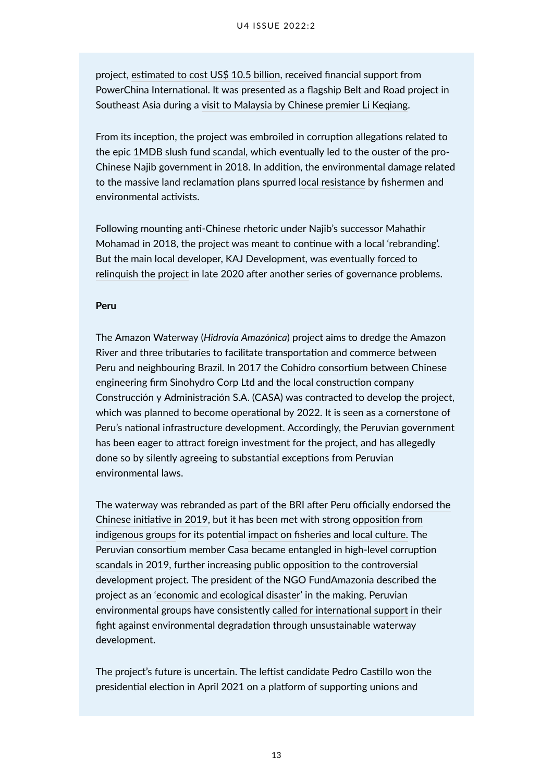project, [estimated to cost US\\$ 10.5 billion,](https://www.msn.com/en-xl/news/other/tale-of-two-belt-and-road-initiative-port-projects-in-malaysia-shows-limits-of-chinese-money/ar-BB1bH367) received financial support from PowerChina International. It was presented as a flagship Belt and Road project in Southeast Asia during a [visit to Malaysia by Chinese premier Li Keqiang](https://www.fmprc.gov.cn/mfa_eng/zxxx_662805/t1318284.shtml).

From its inception, the project was embroiled in corruption allegations related to the epic [1MDB slush fund scandal](https://www.businessinsider.com/1mdb-timeline-the-goldman-sachs-backed-malaysian-wealth-fund-2018-12?r=DE&IR=T), which eventually led to the ouster of the pro-Chinese Najib government in 2018. In addition, the environmental damage related to the massive land reclamation plans spurred [local resistance](https://www.forbes.com/sites/wadeshepard/2020/01/31/inside-the-belt-and-roads-premier-white-elephant-melaka-gateway/) by fishermen and environmental activists.

Following mounting anti-Chinese rhetoric under Najib's successor Mahathir Mohamad in 2018, the project was meant to continue with a local 'rebranding'. But the main local developer, KAJ Development, was eventually [forced to](https://weehingthong.org/2020/12/10/terminated-the-melaka-gateway-project/) [relinquish the project](https://weehingthong.org/2020/12/10/terminated-the-melaka-gateway-project/) in late 2020 after another series of governance problems.

#### **Peru**

The Amazon Waterway (*Hidrovía Amazónica*) project aims to dredge the Amazon River and three tributaries to facilitate transportation and commerce between Peru and neighbouring Brazil. In 2017 the [Cohidro consortium](https://dialogochino.net/en/infrastructure/30190-china-backed-amazon-waterway-mired-in-murky-information/) between Chinese engineering firm Sinohydro Corp Ltd and the local construction company Construcción y Administración S.A. (CASA) was contracted to develop the project, which was planned to become operational by 2022. It is seen as a cornerstone of Peru's national infrastructure development. Accordingly, the Peruvian government has been eager to attract foreign investment for the project, and has allegedly done so by silently agreeing to substantial exceptions from Peruvian environmental laws.

The waterway was rebranded as part of the BRI after Peru officially [endorsed the](https://www.reuters.com/article/us-china-silkroad-peru/peru-to-sign-mou-to-join-chinas-belt-and-road-club-in-coming-days-chinese-ambassador-idUSKCN1S104R) [Chinese initiative in 2019,](https://www.reuters.com/article/us-china-silkroad-peru/peru-to-sign-mou-to-join-chinas-belt-and-road-club-in-coming-days-chinese-ambassador-idUSKCN1S104R) but it has been met with strong [opposition from](http://aidesep.org.pe/noticias/comunidades-indigenas-cuestionan-hidrovia-amazonica-por-riesgos-ambientales) [indigenous groups](http://aidesep.org.pe/noticias/comunidades-indigenas-cuestionan-hidrovia-amazonica-por-riesgos-ambientales) for its potential [impact on fisheries and local culture.](https://ejatlas.org/conflict/hidrovia-amazonica) The Peruvian consortium member Casa became [entangled in high-level corruption](https://dialogochino.net/es/infraestructura-es/32203-investigados-por-corrupcion-ligados-a-licitacion-de-la-hidrovia-amazonica/) [scandals](https://dialogochino.net/es/infraestructura-es/32203-investigados-por-corrupcion-ligados-a-licitacion-de-la-hidrovia-amazonica/) in 2019, further increasing [public opposition](https://www.idl.org.pe/organizaciones-indigenas-demandan-al-estado-por-proyecto-hidrovia-amazonica/) to the controversial development project. The president of the NGO FundAmazonia described the project as an ['economic and ecological disaster](https://dialogochino.net/pt-br/infraestrutura-pt-br/30190-china-apoia-controverso-projeto-de-hidrovia-na-amazonia-peruana/)' in the making. Peruvian environmental groups have consistently [called for international support](https://www.dw.com/es/hidrov%25C3%25ADa-amaz%25C3%25B3nica-una-amenaza-para-per%25C3%25BA-y-el-planeta/a-51679653) in their fight against environmental degradation through unsustainable waterway development.

The project's future is uncertain. The leftist candidate Pedro Castillo won the presidential election in April 2021 on a platform of supporting unions and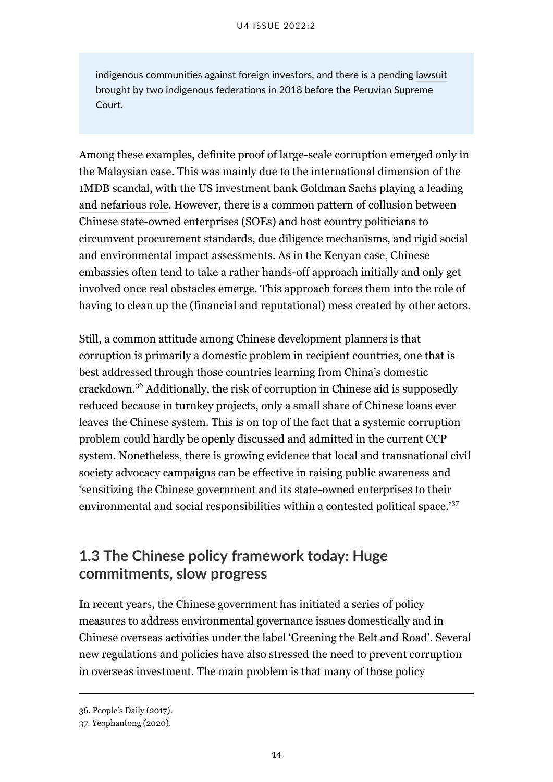indigenous communities against foreign investors, and there is a pending [lawsuit](https://rpp.pe/blog/mongabay/el-futuro-incierto-de-la-hidrovia-amazonica-peruana-noticia-1318847) [brought by two indigenous federations in 2018](https://rpp.pe/blog/mongabay/el-futuro-incierto-de-la-hidrovia-amazonica-peruana-noticia-1318847) before the Peruvian Supreme Court.

Among these examples, definite proof of large-scale corruption emerged only in the Malaysian case. This was mainly due to the international dimension of the 1MDB scandal, with the US investment bank Goldman Sachs playing [a leading](https://www.bbc.com/news/business-54597256) [and nefarious role](https://www.bbc.com/news/business-54597256). However, there is a common pattern of collusion between Chinese state-owned enterprises (SOEs) and host country politicians to circumvent procurement standards, due diligence mechanisms, and rigid social and environmental impact assessments. As in the Kenyan case, Chinese embassies often tend to take a rather hands-off approach initially and only get involved once real obstacles emerge. This approach forces them into the role of having to clean up the (financial and reputational) mess created by other actors.

Still, a common attitude among Chinese development planners is that corruption is primarily a domestic problem in recipient countries, one that is best addressed through those countries learning from China's domestic crackdown.<sup>36</sup> Additionally, the risk of corruption in Chinese aid is supposedly reduced because in turnkey projects, only a small share of Chinese loans ever leaves the Chinese system. This is on top of the fact that a systemic corruption problem could hardly be openly discussed and admitted in the current CCP system. Nonetheless, there is growing evidence that local and transnational civil society advocacy campaigns can be effective in raising public awareness and 'sensitizing the Chinese government and its state-owned enterprises to their environmental and social responsibilities within a contested political space.'<sup>37</sup>

### <span id="page-19-0"></span>**1.3 The Chinese policy framework today: Huge commitments, slow progress**

In recent years, the Chinese government has initiated a series of policy measures to address environmental governance issues domestically and in Chinese overseas activities under the label 'Greening the Belt and Road'. Several new regulations and policies have also stressed the need to prevent corruption in overseas investment. The main problem is that many of those policy

<sup>36.</sup> People's Daily (2017).

<sup>37.</sup> Yeophantong (2020).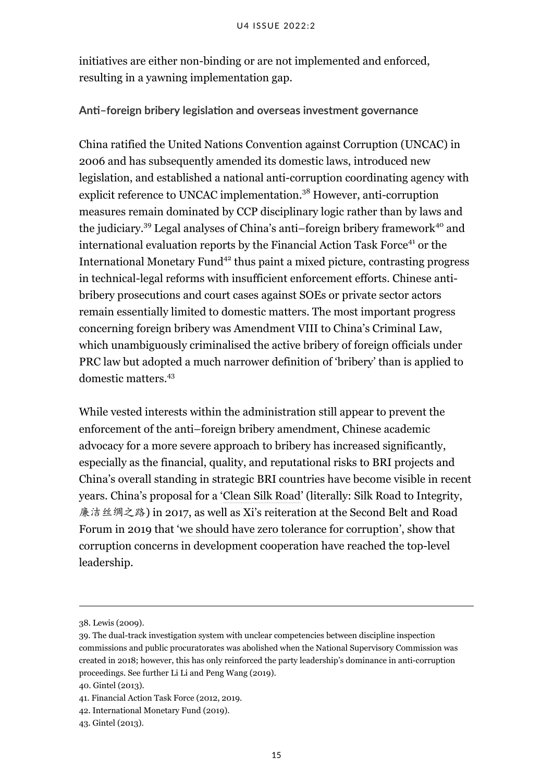initiatives are either non-binding or are not implemented and enforced, resulting in a yawning implementation gap.

#### **Anti–foreign bribery legislation and overseas investment governance**

China ratified the United Nations Convention against Corruption (UNCAC) in 2006 and has subsequently amended its domestic laws, introduced new legislation, and established a national anti-corruption coordinating agency with explicit reference to UNCAC implementation.<sup>38</sup> However, anti-corruption measures remain dominated by CCP disciplinary logic rather than by laws and the judiciary.<sup>39</sup> Legal analyses of China's anti–foreign bribery framework<sup>40</sup> and international evaluation reports by the Financial Action Task Force<sup>41</sup> or the International Monetary Fund<sup>42</sup> thus paint a mixed picture, contrasting progress in technical-legal reforms with insufficient enforcement efforts. Chinese antibribery prosecutions and court cases against SOEs or private sector actors remain essentially limited to domestic matters. The most important progress concerning foreign bribery was Amendment VIII to China's Criminal Law, which unambiguously criminalised the active bribery of foreign officials under PRC law but adopted a much narrower definition of 'bribery' than is applied to domestic matters<sup>43</sup>

While vested interests within the administration still appear to prevent the enforcement of the anti–foreign bribery amendment, Chinese academic advocacy for a more severe approach to bribery has increased significantly, especially as the financial, quality, and reputational risks to BRI projects and China's overall standing in strategic BRI countries have become visible in recent years. China's proposal for a '[Clean Silk Road'](https://www.chinadaily.com.cn/a/201904/26/WS5cc301a6a3104842260b8a24.html) (literally: Silk Road to Integrity, 廉洁丝绸之路) in 2017, as well as Xi's reiteration at the Second Belt and Road Forum in 2019 that ['we should have zero tolerance for corruption'](https://www.fmprc.gov.cn/mfa_eng/zxxx_662805/t1658424.shtml), show that corruption concerns in development cooperation have reached the top-level leadership.

<sup>38.</sup> Lewis (2009).

<sup>39.</sup> The dual-track investigation system with unclear competencies between discipline inspection commissions and public procuratorates was abolished when the National Supervisory Commission was created in 2018; however, this has only reinforced the party leadership's dominance in anti-corruption proceedings. See further Li Li and Peng Wang (2019).

<sup>40.</sup> Gintel (2013).

<sup>41.</sup> Financial Action Task Force (2012, 2019.

<sup>42.</sup> International Monetary Fund (2019).

<sup>43.</sup> Gintel (2013).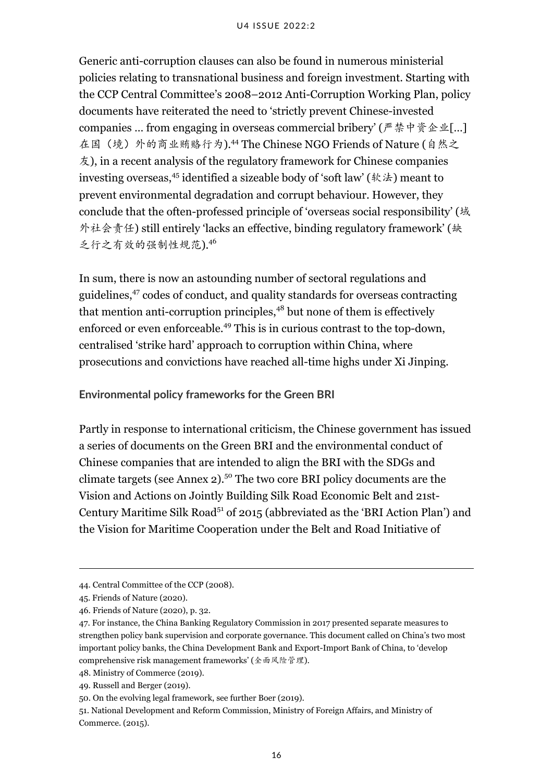Generic anti-corruption clauses can also be found in numerous ministerial policies relating to transnational business and foreign investment. Starting with the CCP Central Committee's 2008–2012 Anti-Corruption Working Plan, policy documents have reiterated the need to 'strictly prevent Chinese-invested companies ... from engaging in overseas commercial bribery' (严禁中资企业[...] 在国(境)外的商业贿赂行为).<sup>44</sup> The Chinese NGO Friends of Nature (自然之 友), in a recent analysis of the regulatory framework for Chinese companies investing overseas,<sup>45</sup> identified a sizeable body of 'soft law' (软法) meant to prevent environmental degradation and corrupt behaviour. However, they conclude that the often-professed principle of 'overseas social responsibility' (域 外社会责任) still entirely 'lacks an effective, binding regulatory framework' (缺 乏行之有效的强制性规范).<sup>46</sup>

In sum, there is now an astounding number of sectoral regulations and guidelines,<sup>47</sup> codes of conduct, and quality standards for overseas contracting that mention anti-corruption principles,<sup>48</sup> but none of them is effectively enforced or even enforceable.<sup>49</sup> This is in curious contrast to the top-down, centralised 'strike hard' approach to corruption within China, where prosecutions and convictions have reached all-time highs under Xi Jinping.

**Environmental policy frameworks for the Green BRI**

Partly in response to international criticism, the Chinese government has issued a series of documents on the Green BRI and the environmental conduct of Chinese companies that are intended to align the BRI with the SDGs and climate targets (see Annex  $2$ ).<sup>50</sup> The two core BRI policy documents are the Vision and Actions on Jointly Building Silk Road Economic Belt and 21st-Century Maritime Silk Road<sup>51</sup> of 2015 (abbreviated as the 'BRI Action Plan') and the Vision for Maritime Cooperation under the Belt and Road Initiative of

<sup>44.</sup> Central Committee of the CCP (2008).

<sup>45.</sup> Friends of Nature (2020).

<sup>46.</sup> Friends of Nature (2020), p. 32.

<sup>47.</sup> For instance, the China Banking Regulatory Commission in 2017 presented separate measures to strengthen policy bank supervision and corporate governance. This document called on China's two most important policy banks, the China Development Bank and Export-Import Bank of China, to 'develop comprehensive risk management frameworks' (全面风险管理).

<sup>48.</sup> Ministry of Commerce (2019).

<sup>49.</sup> Russell and Berger (2019).

<sup>50.</sup> On the evolving legal framework, see further Boer (2019).

<sup>51.</sup> National Development and Reform Commission, Ministry of Foreign Affairs, and Ministry of Commerce. (2015).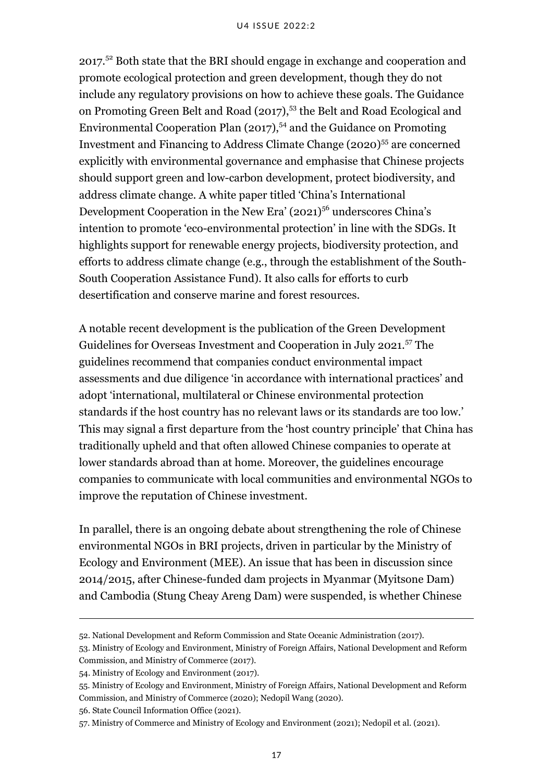2017.<sup>52</sup> Both state that the BRI should engage in exchange and cooperation and promote ecological protection and green development, though they do not include any regulatory provisions on how to achieve these goals. The Guidance on Promoting Green Belt and Road (2017),<sup>53</sup> the Belt and Road Ecological and Environmental Cooperation Plan  $(2017)$ ,  $^{54}$  and the Guidance on Promoting Investment and Financing to Address Climate Change (2020)<sup>55</sup> are concerned explicitly with environmental governance and emphasise that Chinese projects should support green and low-carbon development, protect biodiversity, and address climate change. A white paper titled 'China's International Development Cooperation in the New Era'  $(2021)^{56}$  underscores China's intention to promote 'eco-environmental protection' in line with the SDGs. It highlights support for renewable energy projects, biodiversity protection, and efforts to address climate change (e.g., through the establishment of the South-South Cooperation Assistance Fund). It also calls for efforts to curb desertification and conserve marine and forest resources.

A notable recent development is the publication of the Green Development Guidelines for Overseas Investment and Cooperation in July 2021.<sup>57</sup> The guidelines recommend that companies conduct environmental impact assessments and due diligence 'in accordance with international practices' and adopt 'international, multilateral or Chinese environmental protection standards if the host country has no relevant laws or its standards are too low.' This may signal a first departure from the 'host country principle' that China has traditionally upheld and that often allowed Chinese companies to operate at lower standards abroad than at home. Moreover, the guidelines encourage companies to communicate with local communities and environmental NGOs to improve the reputation of Chinese investment.

In parallel, there is an ongoing debate about strengthening the role of Chinese environmental NGOs in BRI projects, driven in particular by the Ministry of Ecology and Environment (MEE). An issue that has been in discussion since 2014/2015, after Chinese-funded dam projects in Myanmar (Myitsone Dam) and Cambodia (Stung Cheay Areng Dam) were suspended, is whether Chinese

56. State Council Information Office (2021).

<sup>52.</sup> National Development and Reform Commission and State Oceanic Administration (2017).

<sup>53.</sup> Ministry of Ecology and Environment, Ministry of Foreign Affairs, National Development and Reform Commission, and Ministry of Commerce (2017).

<sup>54.</sup> Ministry of Ecology and Environment (2017).

<sup>55.</sup> Ministry of Ecology and Environment, Ministry of Foreign Affairs, National Development and Reform Commission, and Ministry of Commerce (2020); Nedopil Wang (2020).

<sup>57.</sup> Ministry of Commerce and Ministry of Ecology and Environment (2021); Nedopil et al. (2021).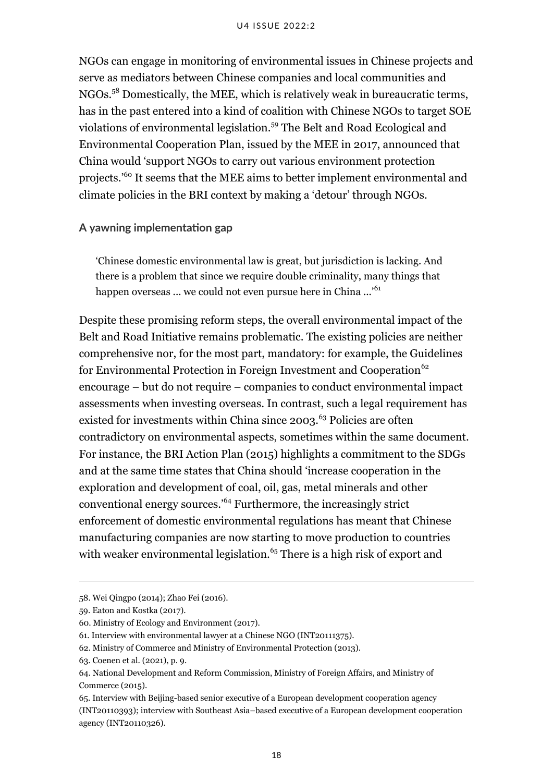NGOs can engage in monitoring of environmental issues in Chinese projects and serve as mediators between Chinese companies and local communities and NGOs.<sup>58</sup> Domestically, the MEE, which is relatively weak in bureaucratic terms, has in the past entered into a kind of coalition with Chinese NGOs to target SOE violations of environmental legislation.<sup>59</sup> The Belt and Road Ecological and Environmental Cooperation Plan, issued by the MEE in 2017, announced that China would 'support NGOs to carry out various environment protection projects.'<sup>60</sup> It seems that the MEE aims to better implement environmental and climate policies in the BRI context by making a 'detour' through NGOs.

#### **A yawning implementation gap**

'Chinese domestic environmental law is great, but jurisdiction is lacking. And there is a problem that since we require double criminality, many things that happen overseas ... we could not even pursue here in China ...'<sup>61</sup>

Despite these promising reform steps, the overall environmental impact of the Belt and Road Initiative remains problematic. The existing policies are neither comprehensive nor, for the most part, mandatory: for example, the Guidelines for Environmental Protection in Foreign Investment and Cooperation<sup>62</sup> encourage – but do not require – companies to conduct environmental impact assessments when investing overseas. In contrast, such a legal requirement has existed for investments within China since  $2003$ .<sup>63</sup> Policies are often contradictory on environmental aspects, sometimes within the same document. For instance, the BRI Action Plan (2015) highlights a commitment to the SDGs and at the same time states that China should 'increase cooperation in the exploration and development of coal, oil, gas, metal minerals and other conventional energy sources.'<sup>64</sup> Furthermore, the increasingly strict enforcement of domestic environmental regulations has meant that Chinese manufacturing companies are now starting to move production to countries with weaker environmental legislation.<sup>65</sup> There is a high risk of export and

<sup>58.</sup> Wei Qingpo (2014); Zhao Fei (2016).

<sup>59.</sup> Eaton and Kostka (2017).

<sup>60.</sup> Ministry of Ecology and Environment (2017).

<sup>61.</sup> Interview with environmental lawyer at a Chinese NGO (INT20111375).

<sup>62.</sup> Ministry of Commerce and Ministry of Environmental Protection (2013).

<sup>63.</sup> Coenen et al. (2021), p. 9.

<sup>64.</sup> National Development and Reform Commission, Ministry of Foreign Affairs, and Ministry of Commerce (2015).

<sup>65.</sup> Interview with Beijing-based senior executive of a European development cooperation agency (INT20110393); interview with Southeast Asia–based executive of a European development cooperation agency (INT20110326).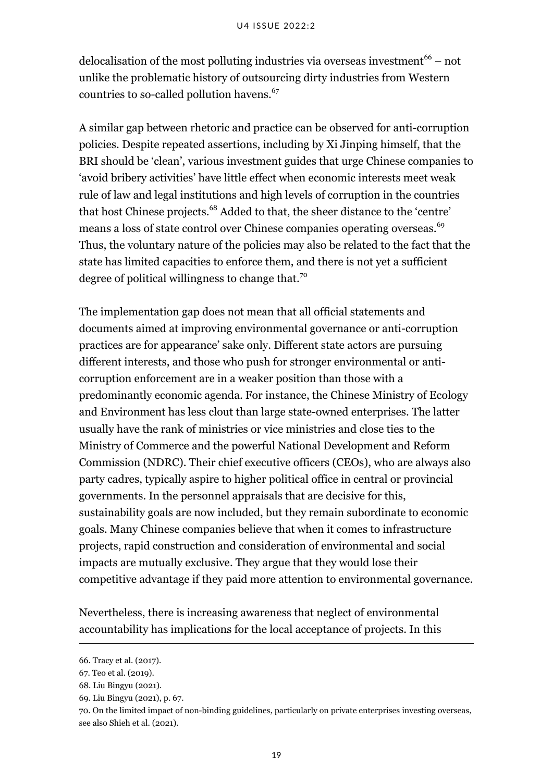delocalisation of the most polluting industries via overseas investment<sup>66</sup> – not unlike the problematic history of outsourcing dirty industries from Western countries to so-called pollution havens.<sup>67</sup>

A similar gap between rhetoric and practice can be observed for anti-corruption policies. Despite repeated assertions, including by Xi Jinping himself, that the BRI should be 'clean', various investment guides that urge Chinese companies to 'avoid bribery activities' have little effect when economic interests meet weak rule of law and legal institutions and high levels of corruption in the countries that host Chinese projects.<sup>68</sup> Added to that, the sheer distance to the 'centre' means a loss of state control over Chinese companies operating overseas.<sup>69</sup> Thus, the voluntary nature of the policies may also be related to the fact that the state has limited capacities to enforce them, and there is not yet a sufficient degree of political willingness to change that.<sup>70</sup>

The implementation gap does not mean that all official statements and documents aimed at improving environmental governance or anti-corruption practices are for appearance' sake only. Different state actors are pursuing different interests, and those who push for stronger environmental or anticorruption enforcement are in a weaker position than those with a predominantly economic agenda. For instance, the Chinese Ministry of Ecology and Environment has less clout than large state-owned enterprises. The latter usually have the rank of ministries or vice ministries and close ties to the Ministry of Commerce and the powerful National Development and Reform Commission (NDRC). Their chief executive officers (CEOs), who are always also party cadres, typically aspire to higher political office in central or provincial governments. In the personnel appraisals that are decisive for this, sustainability goals are now included, but they remain subordinate to economic goals. Many Chinese companies believe that when it comes to infrastructure projects, rapid construction and consideration of environmental and social impacts are mutually exclusive. They argue that they would lose their competitive advantage if they paid more attention to environmental governance.

Nevertheless, there is increasing awareness that neglect of environmental accountability has implications for the local acceptance of projects. In this

<sup>66.</sup> Tracy et al. (2017).

<sup>67.</sup> Teo et al. (2019).

<sup>68.</sup> Liu Bingyu (2021).

<sup>69.</sup> Liu Bingyu (2021), p. 67.

<sup>70.</sup> On the limited impact of non-binding guidelines, particularly on private enterprises investing overseas, see also Shieh et al. (2021).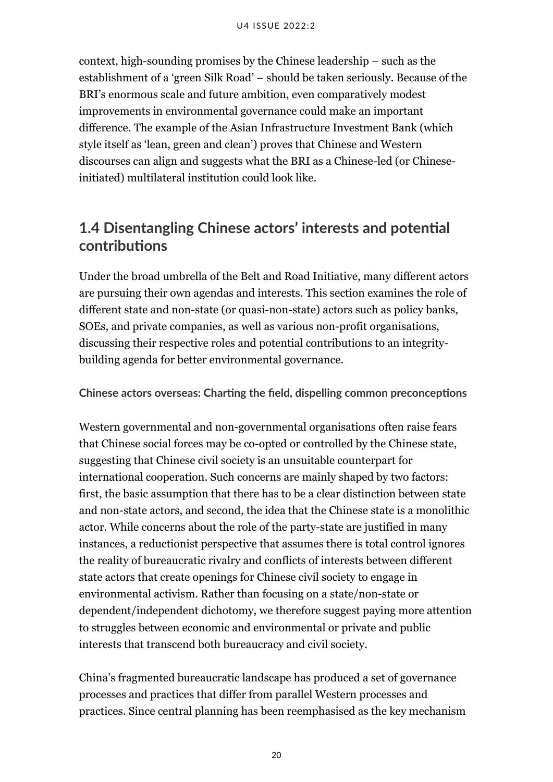context, high-sounding promises by the Chinese leadership – such as the establishment of a 'green Silk Road' – should be taken seriously. Because of the BRI's enormous scale and future ambition, even comparatively modest improvements in environmental governance could make an important difference. The example of the Asian Infrastructure Investment Bank (which style itself as 'lean, green and clean') proves that Chinese and Western discourses can align and suggests what the BRI as a Chinese-led (or Chineseinitiated) multilateral institution could look like.

# <span id="page-25-0"></span>**1.4 Disentangling Chinese actors' interests and potential contributions**

Under the broad umbrella of the Belt and Road Initiative, many different actors are pursuing their own agendas and interests. This section examines the role of different state and non-state (or quasi-non-state) actors such as policy banks, SOEs, and private companies, as well as various non-profit organisations, discussing their respective roles and potential contributions to an integritybuilding agenda for better environmental governance.

**Chinese actors overseas: Charting the field, dispelling common preconceptions**

Western governmental and non-governmental organisations often raise fears that Chinese social forces may be co-opted or controlled by the Chinese state, suggesting that Chinese civil society is an unsuitable counterpart for international cooperation. Such concerns are mainly shaped by two factors: first, the basic assumption that there has to be a clear distinction between state and non-state actors, and second, the idea that the Chinese state is a monolithic actor. While concerns about the role of the party-state are justified in many instances, a reductionist perspective that assumes there is total control ignores the reality of bureaucratic rivalry and conflicts of interests between different state actors that create openings for Chinese civil society to engage in environmental activism. Rather than focusing on a state/non-state or dependent/independent dichotomy, we therefore suggest paying more attention to struggles between economic and environmental or private and public interests that transcend both bureaucracy and civil society.

China's fragmented bureaucratic landscape has produced a set of governance processes and practices that differ from parallel Western processes and practices. Since central planning has been reemphasised as the key mechanism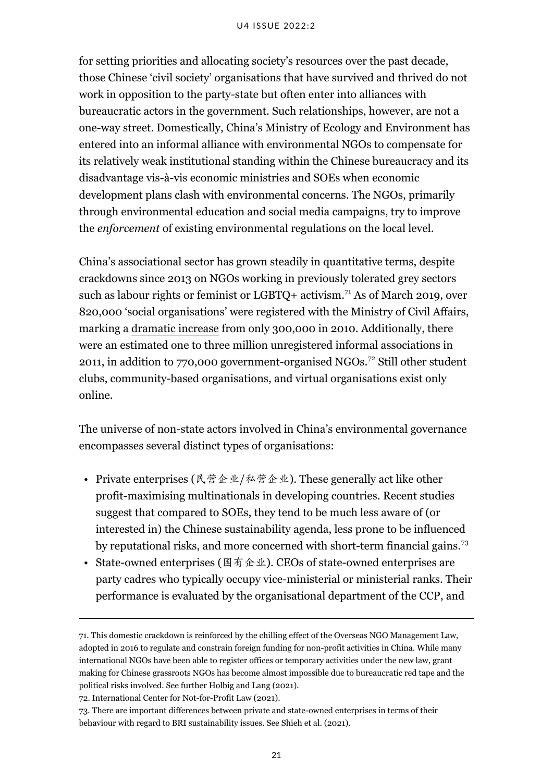#### U4 ISSUE 2022:2

for setting priorities and allocating society's resources over the past decade, those Chinese 'civil society' organisations that have survived and thrived do not work in opposition to the party-state but often enter into alliances with bureaucratic actors in the government. Such relationships, however, are not a one-way street. Domestically, China's Ministry of Ecology and Environment has entered into an informal alliance with environmental NGOs to compensate for its relatively weak institutional standing within the Chinese bureaucracy and its disadvantage vis-à-vis economic ministries and SOEs when economic development plans clash with environmental concerns. The NGOs, primarily through environmental education and social media campaigns, try to improve the *enforcement* of existing environmental regulations on the local level.

China's associational sector has grown steadily in quantitative terms, despite crackdowns since 2013 on NGOs working in previously tolerated grey sectors such as labour rights or feminist or LGBTQ+ activism.<sup>71</sup> As of [March 2019,](http://www.chinadevelopmentbrief.cn/articles/an-overview-of-chinese-foreign-aid-a-rising-player-with-much-need-for-improvement/) over 820,000 'social organisations' were registered with the Ministry of Civil Affairs, marking a [dramatic increase](http://www.chinadevelopmentbrief.cn/articles/how-many-ngos-are-there-really-in-china/) from only 300,000 in 2010. Additionally, there were an estimated one to three million unregistered informal associations in 2011, in addition to 770,000 government-organised NGOs.<sup>72</sup> Still other student clubs, community-based organisations, and virtual organisations exist only online.

The universe of non-state actors involved in China's environmental governance encompasses several distinct types of organisations:

- Private enterprises (民营企业/私营企业). These generally act like other profit-maximising multinationals in developing countries. Recent studies suggest that compared to SOEs, they tend to be much less aware of (or interested in) the Chinese sustainability agenda, less prone to be influenced by reputational risks, and more concerned with short-term financial gains.<sup>73</sup>
- State-owned enterprises (国有企业). CEOs of state-owned enterprises are party cadres who typically occupy vice-ministerial or ministerial ranks. Their performance is evaluated by the organisational department of the CCP, and

72. International Center for Not-for-Profit Law (2021).

<sup>71.</sup> This domestic crackdown is reinforced by the chilling effect of the Overseas NGO Management Law, adopted in 2016 to regulate and constrain foreign funding for non-profit activities in China. While many international NGOs have been able to register offices or temporary activities under the new law, grant making for Chinese grassroots NGOs has become almost impossible due to bureaucratic red tape and the political risks involved. See further Holbig and Lang (2021).

<sup>73.</sup> There are important differences between private and state-owned enterprises in terms of their behaviour with regard to BRI sustainability issues. See Shieh et al. (2021).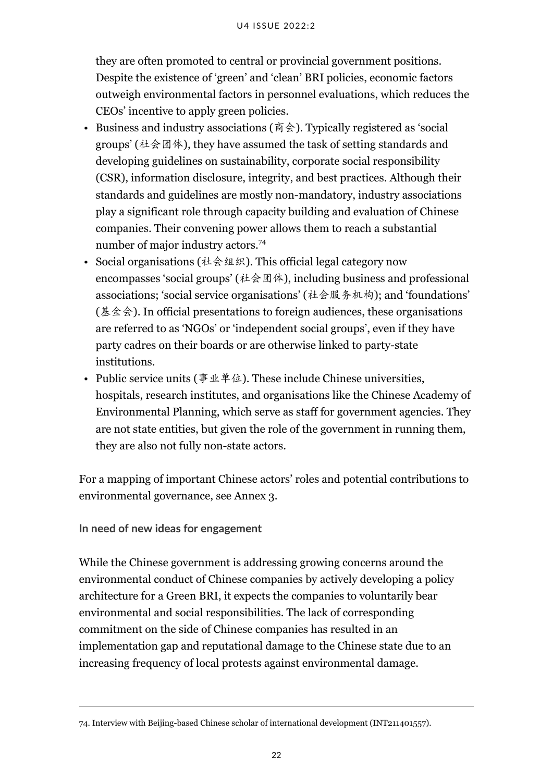they are often promoted to central or provincial government positions. Despite the existence of 'green' and 'clean' BRI policies, economic factors outweigh environmental factors in personnel evaluations, which reduces the CEOs' incentive to apply green policies.

- Business and industry associations (商会). Typically registered as 'social groups' (社会团体), they have assumed the task of setting standards and developing guidelines on sustainability, corporate social responsibility (CSR), information disclosure, integrity, and best practices. Although their standards and guidelines are mostly non-mandatory, industry associations play a significant role through capacity building and evaluation of Chinese companies. Their convening power allows them to reach a substantial number of major industry actors.<sup>74</sup>
- Social organisations (社会组织). This official legal category now encompasses 'social groups' (社会团体), including business and professional associations; 'social service organisations' (社会服务机构); and 'foundations' (基金会). In official presentations to foreign audiences, these organisations are referred to as 'NGOs' or 'independent social groups', even if they have party cadres on their boards or are otherwise linked to party-state institutions.
- Public service units (事业单位). These include Chinese universities, hospitals, research institutes, and organisations like the Chinese Academy of Environmental Planning, which serve as staff for government agencies. They are not state entities, but given the role of the government in running them, they are also not fully non-state actors.

For a mapping of important Chinese actors' roles and potential contributions to environmental governance, see Annex 3.

**In need of new ideas for engagement**

While the Chinese government is addressing growing concerns around the environmental conduct of Chinese companies by actively developing a policy architecture for a Green BRI, it expects the companies to voluntarily bear environmental and social responsibilities. The lack of corresponding commitment on the side of Chinese companies has resulted in an implementation gap and reputational damage to the Chinese state due to an increasing frequency of local protests against environmental damage.

<sup>74.</sup> Interview with Beijing-based Chinese scholar of international development (INT211401557).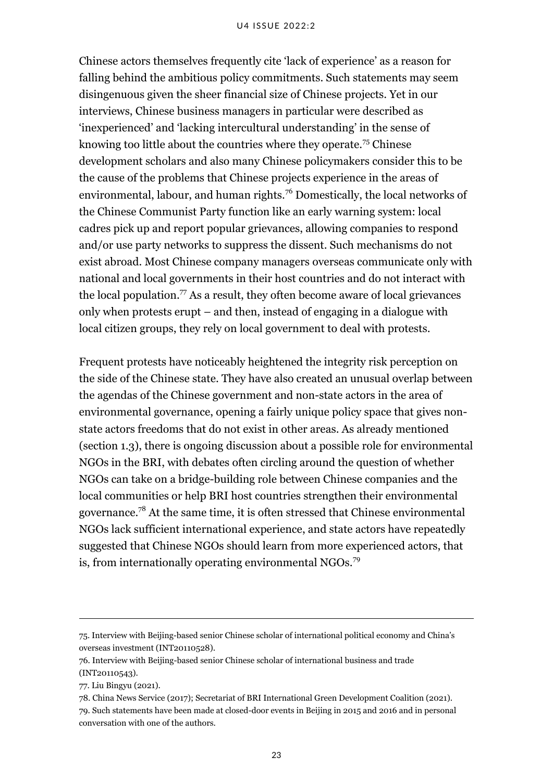Chinese actors themselves frequently cite 'lack of experience' as a reason for falling behind the ambitious policy commitments. Such statements may seem disingenuous given the sheer financial size of Chinese projects. Yet in our interviews, Chinese business managers in particular were described as 'inexperienced' and 'lacking intercultural understanding' in the sense of knowing too little about the countries where they operate.<sup>75</sup> Chinese development scholars and also many Chinese policymakers consider this to be the cause of the problems that Chinese projects experience in the areas of environmental, labour, and human rights.<sup>76</sup> Domestically, the local networks of the Chinese Communist Party function like an early warning system: local cadres pick up and report popular grievances, allowing companies to respond and/or use party networks to suppress the dissent. Such mechanisms do not exist abroad. Most Chinese company managers overseas communicate only with national and local governments in their host countries and do not interact with the local population.<sup>77</sup> As a result, they often become aware of local grievances only when protests erupt – and then, instead of engaging in a dialogue with local citizen groups, they rely on local government to deal with protests.

Frequent protests have noticeably heightened the integrity risk perception on the side of the Chinese state. They have also created an unusual overlap between the agendas of the Chinese government and non-state actors in the area of environmental governance, opening a fairly unique policy space that gives nonstate actors freedoms that do not exist in other areas. As already mentioned (section 1.3), there is ongoing discussion about a possible role for environmental NGOs in the BRI, with debates often circling around the question of whether NGOs can take on a bridge-building role between Chinese companies and the local communities or help BRI host countries strengthen their environmental governance.<sup>78</sup> At the same time, it is often stressed that Chinese environmental NGOs lack sufficient international experience, and state actors have repeatedly suggested that Chinese NGOs should learn from more experienced actors, that is, from internationally operating environmental NGOs.<sup>79</sup>

78. China News Service (2017); Secretariat of BRI International Green Development Coalition (2021). 79. Such statements have been made at closed-door events in Beijing in 2015 and 2016 and in personal conversation with one of the authors.

<sup>75.</sup> Interview with Beijing-based senior Chinese scholar of international political economy and China's overseas investment (INT20110528).

<sup>76.</sup> Interview with Beijing-based senior Chinese scholar of international business and trade (INT20110543).

<sup>77.</sup> Liu Bingyu (2021).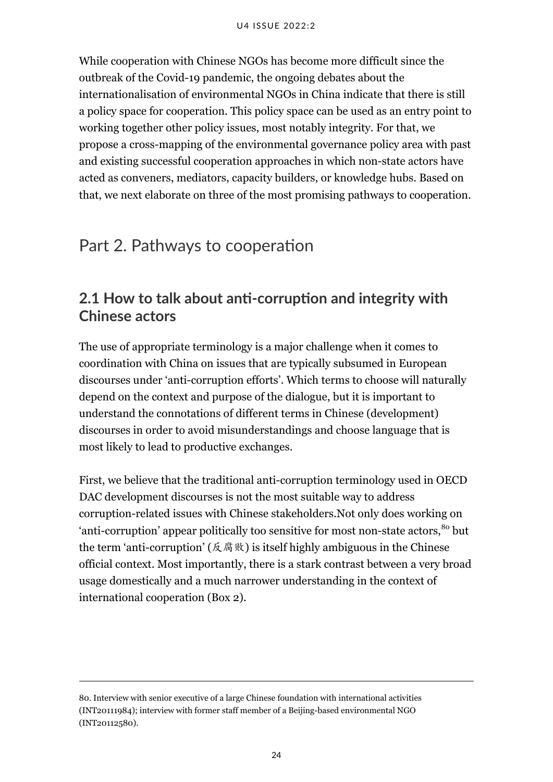While cooperation with Chinese NGOs has become more difficult since the outbreak of the Covid-19 pandemic, the ongoing debates about the internationalisation of environmental NGOs in China indicate that there is still a policy space for cooperation. This policy space can be used as an entry point to working together other policy issues, most notably integrity. For that, we propose a cross-mapping of the environmental governance policy area with past and existing successful cooperation approaches in which non-state actors have acted as conveners, mediators, capacity builders, or knowledge hubs. Based on that, we next elaborate on three of the most promising pathways to cooperation.

# <span id="page-29-0"></span>Part 2. Pathways to cooperation

# <span id="page-29-1"></span>**2.1 How to talk about anti-corruption and integrity with Chinese actors**

The use of appropriate terminology is a major challenge when it comes to coordination with China on issues that are typically subsumed in European discourses under 'anti-corruption efforts'. Which terms to choose will naturally depend on the context and purpose of the dialogue, but it is important to understand the connotations of different terms in Chinese (development) discourses in order to avoid misunderstandings and choose language that is most likely to lead to productive exchanges.

First, we believe that the traditional anti-corruption terminology used in OECD DAC development discourses is not the most suitable way to address corruption-related issues with Chinese stakeholders.Not only does working on 'anti-corruption' appear politically too sensitive for most non-state actors, <sup>80</sup> but the term 'anti-corruption' (反腐败) is itself highly ambiguous in the Chinese official context. Most importantly, there is a stark contrast between a very broad usage domestically and a much narrower understanding in the context of international cooperation (Box 2).

<sup>80.</sup> Interview with senior executive of a large Chinese foundation with international activities (INT20111984); interview with former staff member of a Beijing-based environmental NGO (INT20112580).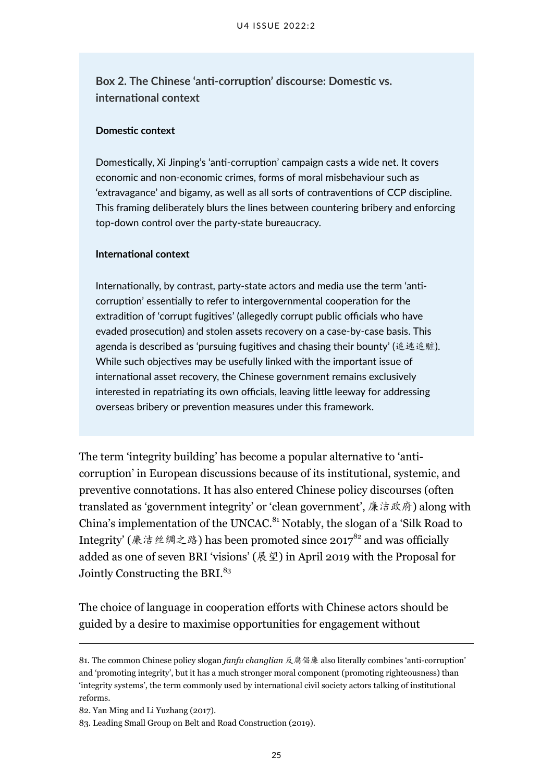**Box 2. The Chinese 'anti-corruption' discourse: Domestic vs. international context**

#### **Domestic context**

Domestically, Xi Jinping's 'anti-corruption' campaign casts a wide net. It covers economic and non-economic crimes, forms of moral misbehaviour such as 'extravagance' and bigamy, as well as all sorts of contraventions of CCP discipline. This framing deliberately blurs the lines between countering bribery and enforcing top-down control over the party-state bureaucracy.

#### **International context**

Internationally, by contrast, party-state actors and media use the term 'anticorruption' essentially to refer to intergovernmental cooperation for the extradition of 'corrupt fugitives' (allegedly corrupt public officials who have evaded prosecution) and stolen assets recovery on a case-by-case basis. This agenda is described as 'pursuing fugitives and chasing their bounty' (追逃追赃). While such objectives may be usefully linked with the important issue of international asset recovery, the Chinese government remains exclusively interested in repatriating its own officials, leaving little leeway for addressing overseas bribery or prevention measures under this framework.

The term 'integrity building' has become a popular alternative to 'anticorruption' in European discussions because of its institutional, systemic, and preventive connotations. It has also entered Chinese policy discourses (often translated as 'government integrity' or 'clean government', 廉洁政府) along with China's implementation of the UNCAC.<sup>81</sup> Notably, the slogan of a 'Silk Road to Integrity' (廉洁丝绸之路) has been promoted since  $2017^{82}$  and was officially added as one of seven BRI 'visions' (展望) in April 2019 with the Proposal for Jointly Constructing the BRI.<sup>83</sup>

The choice of language in cooperation efforts with Chinese actors should be guided by a desire to maximise opportunities for engagement without

82. Yan Ming and Li Yuzhang (2017).

<sup>81.</sup> The common Chinese policy slogan *fanfu changlian* 反腐倡廉 also literally combines 'anti-corruption' and 'promoting integrity', but it has a much stronger moral component (promoting righteousness) than 'integrity systems', the term commonly used by international civil society actors talking of institutional reforms.

<sup>83.</sup> Leading Small Group on Belt and Road Construction (2019).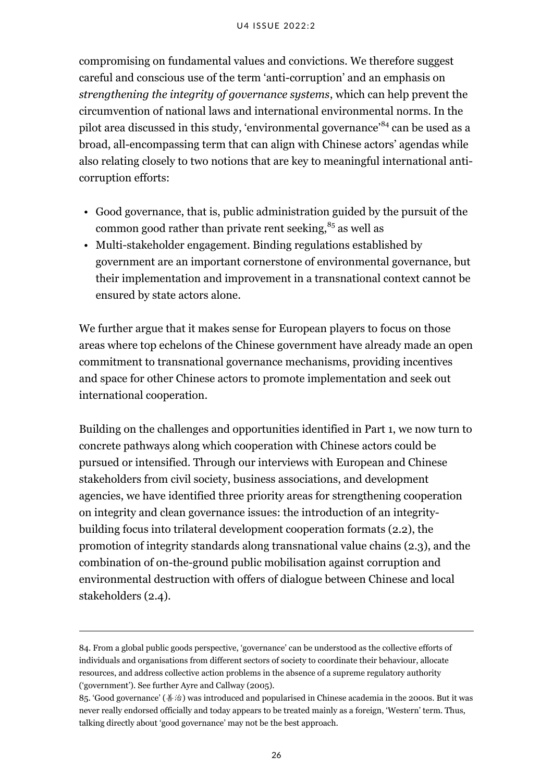compromising on fundamental values and convictions. We therefore suggest careful and conscious use of the term 'anti-corruption' and an emphasis on *strengthening the integrity of governance systems*, which can help prevent the circumvention of national laws and international environmental norms. In the pilot area discussed in this study, 'environmental governance'<sup>84</sup> can be used as a broad, all-encompassing term that can align with Chinese actors' agendas while also relating closely to two notions that are key to meaningful international anticorruption efforts:

- Good governance, that is, public administration guided by the pursuit of the common good rather than private rent seeking, $85$  as well as
- Multi-stakeholder engagement. Binding regulations established by government are an important cornerstone of environmental governance, but their implementation and improvement in a transnational context cannot be ensured by state actors alone.

We further argue that it makes sense for European players to focus on those areas where top echelons of the Chinese government have already made an open commitment to transnational governance mechanisms, providing incentives and space for other Chinese actors to promote implementation and seek out international cooperation.

Building on the challenges and opportunities identified in Part 1, we now turn to concrete pathways along which cooperation with Chinese actors could be pursued or intensified. Through our interviews with European and Chinese stakeholders from civil society, business associations, and development agencies, we have identified three priority areas for strengthening cooperation on integrity and clean governance issues: the introduction of an integritybuilding focus into trilateral development cooperation formats (2.2), the promotion of integrity standards along transnational value chains (2.3), and the combination of on-the-ground public mobilisation against corruption and environmental destruction with offers of dialogue between Chinese and local stakeholders (2.4).

<sup>84.</sup> From a global public goods perspective, 'governance' can be understood as the collective efforts of individuals and organisations from different sectors of society to coordinate their behaviour, allocate resources, and address collective action problems in the absence of a supreme regulatory authority ('government'). See further Ayre and Callway (2005).

<sup>85.</sup> 'Good governance' (善治) was introduced and popularised in Chinese academia in the 2000s. But it was never really endorsed officially and today appears to be treated mainly as a foreign, 'Western' term. Thus, talking directly about 'good governance' may not be the best approach.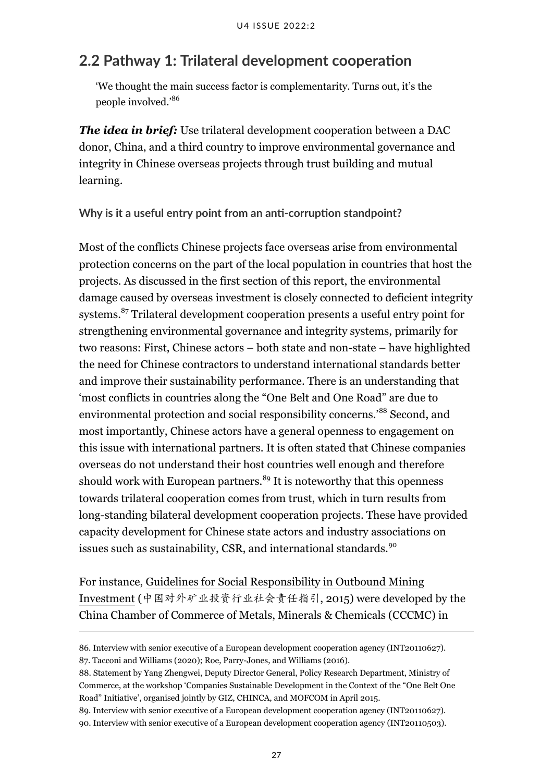### <span id="page-32-0"></span>**2.2 Pathway 1: Trilateral development cooperation**

'We thought the main success factor is complementarity. Turns out, it's the people involved.'<sup>86</sup>

*The idea in brief:* Use trilateral development cooperation between a DAC donor, China, and a third country to improve environmental governance and integrity in Chinese overseas projects through trust building and mutual learning.

**Why is it a useful entry point from an anti-corruption standpoint?**

Most of the conflicts Chinese projects face overseas arise from environmental protection concerns on the part of the local population in countries that host the projects. As discussed in the first section of this report, the environmental damage caused by overseas investment is closely connected to deficient integrity systems.<sup>87</sup> Trilateral development cooperation presents a useful entry point for strengthening environmental governance and integrity systems, primarily for two reasons: First, Chinese actors – both state and non-state – have highlighted the need for Chinese contractors to understand international standards better and improve their sustainability performance. There is an understanding that 'most conflicts in countries along the "One Belt and One Road" are due to environmental protection and social responsibility concerns.'<sup>88</sup> Second, and most importantly, Chinese actors have a general openness to engagement on this issue with international partners. It is often stated that Chinese companies overseas do not understand their host countries well enough and therefore should work with European partners.<sup>89</sup> It is noteworthy that this openness towards trilateral cooperation comes from trust, which in turn results from long-standing bilateral development cooperation projects. These have provided capacity development for Chinese state actors and industry associations on issues such as sustainability, CSR, and international standards.<sup>90</sup>

For instance, [Guidelines for Social Responsibility in Outbound Mining](https://emsdialogues.org/wp-content/uploads/2020/01/Guidelines_for_Social_Responsibility_in_Outbound_Mining_Investments-1.pdf) [Investment](https://emsdialogues.org/wp-content/uploads/2020/01/Guidelines_for_Social_Responsibility_in_Outbound_Mining_Investments-1.pdf) (中国对外矿业投资行业社会责任指引, 2015) were developed by the China Chamber of Commerce of Metals, Minerals & Chemicals (CCCMC) in

<sup>86.</sup> Interview with senior executive of a European development cooperation agency (INT20110627). 87. Tacconi and Williams (2020); Roe, Parry-Jones, and Williams (2016).

<sup>88.</sup> Statement by Yang Zhengwei, Deputy Director General, Policy Research Department, Ministry of Commerce, at the workshop 'Companies Sustainable Development in the Context of the "One Belt One Road" Initiative', organised jointly by GIZ, CHINCA, and MOFCOM in April 2015.

<sup>89.</sup> Interview with senior executive of a European development cooperation agency (INT20110627).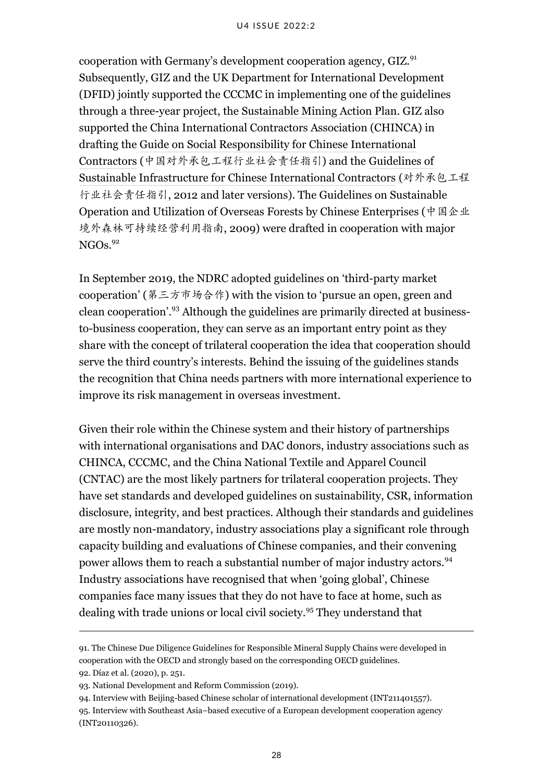cooperation with Germany's development cooperation agency, GIZ.<sup>91</sup> Subsequently, GIZ and the UK Department for International Development (DFID) jointly supported the CCCMC in implementing one of the guidelines through a three-year project, the [Sustainable Mining Action Plan.](https://emsdialogues.org/events/sustainability-in-chinese-outward-mining-investments-sustainable-mining-action-plan-project-scomi-smap-launched-in-china) GIZ also supported the China International Contractors Association (CHINCA) in drafting the [Guide on Social Responsibility for Chinese International](http://images.mofcom.gov.cn/csr2/201812/20181228150651718.pdf) [Contractors](http://images.mofcom.gov.cn/csr2/201812/20181228150651718.pdf) (中国对外承包工程行业社会责任指引) and the [Guidelines of](http://images.mofcom.gov.cn/csr2/201707/20170713103213247.pdf) [Sustainable Infrastructure for Chinese International Contractors](http://images.mofcom.gov.cn/csr2/201707/20170713103213247.pdf) (对外承包工程 行业社会责任指引, 2012 and later versions). The Guidelines on Sustainable Operation and Utilization of Overseas Forests by Chinese Enterprises (中国企业 境外森林可持续经营利用指南, 2009) were drafted in cooperation with major  $NGOs<sup>92</sup>$ 

In September 2019, the NDRC adopted guidelines on 'third-party market cooperation' (第三方市场合作) with the vision to 'pursue an open, green and clean cooperation'.<sup>93</sup> Although the guidelines are primarily directed at businessto-business cooperation, they can serve as an important entry point as they share with the concept of trilateral cooperation the idea that cooperation should serve the third country's interests. Behind the issuing of the guidelines stands the recognition that China needs partners with more international experience to improve its risk management in overseas investment.

Given their role within the Chinese system and their history of partnerships with international organisations and DAC donors, industry associations such as CHINCA, CCCMC, and the China National Textile and Apparel Council (CNTAC) are the most likely partners for trilateral cooperation projects. They have set standards and developed guidelines on sustainability, CSR, information disclosure, integrity, and best practices. Although their standards and guidelines are mostly non-mandatory, industry associations play a significant role through capacity building and evaluations of Chinese companies, and their convening power allows them to reach a substantial number of major industry actors.<sup>94</sup> Industry associations have recognised that when 'going global', Chinese companies face many issues that they do not have to face at home, such as dealing with trade unions or local civil society.<sup>95</sup> They understand that

<sup>91.</sup> The Chinese Due Diligence Guidelines for Responsible Mineral Supply Chains were developed in cooperation with the OECD and strongly based on the corresponding OECD guidelines.

<sup>92.</sup> Díaz et al. (2020), p. 251.

<sup>93.</sup> National Development and Reform Commission (2019).

<sup>94.</sup> Interview with Beijing-based Chinese scholar of international development (INT211401557). 95. Interview with Southeast Asia–based executive of a European development cooperation agency (INT20110326).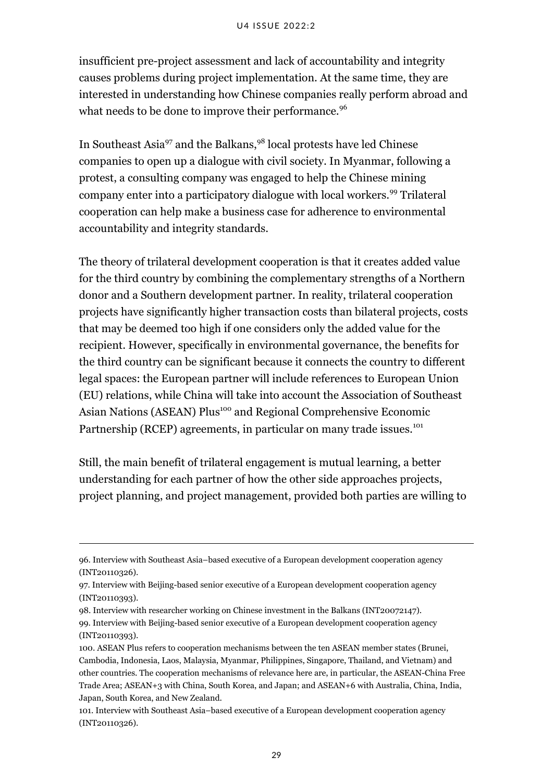insufficient pre-project assessment and lack of accountability and integrity causes problems during project implementation. At the same time, they are interested in understanding how Chinese companies really perform abroad and what needs to be done to improve their performance.<sup>96</sup>

In Southeast Asia<sup>97</sup> and the Balkans,<sup>98</sup> local protests have led Chinese companies to open up a dialogue with civil society. In Myanmar, following a protest, a consulting company was engaged to help the Chinese mining company enter into a participatory dialogue with local workers.<sup>99</sup> Trilateral cooperation can help make a business case for adherence to environmental accountability and integrity standards.

The theory of trilateral development cooperation is that it creates added value for the third country by combining the complementary strengths of a Northern donor and a Southern development partner. In reality, trilateral cooperation projects have significantly higher transaction costs than bilateral projects, costs that may be deemed too high if one considers only the added value for the recipient. However, specifically in environmental governance, the benefits for the third country can be significant because it connects the country to different legal spaces: the European partner will include references to European Union (EU) relations, while China will take into account the Association of Southeast Asian Nations (ASEAN) Plus<sup>100</sup> and Regional Comprehensive Economic Partnership (RCEP) agreements, in particular on many trade issues.<sup>101</sup>

Still, the main benefit of trilateral engagement is mutual learning, a better understanding for each partner of how the other side approaches projects, project planning, and project management, provided both parties are willing to

<sup>96.</sup> Interview with Southeast Asia–based executive of a European development cooperation agency (INT20110326).

<sup>97.</sup> Interview with Beijing-based senior executive of a European development cooperation agency (INT20110393).

<sup>98.</sup> Interview with researcher working on Chinese investment in the Balkans (INT20072147).

<sup>99.</sup> Interview with Beijing-based senior executive of a European development cooperation agency (INT20110393).

<sup>100.</sup> ASEAN Plus refers to cooperation mechanisms between the ten ASEAN member states (Brunei, Cambodia, Indonesia, Laos, Malaysia, Myanmar, Philippines, Singapore, Thailand, and Vietnam) and other countries. The cooperation mechanisms of relevance here are, in particular, the ASEAN-China Free Trade Area; ASEAN+3 with China, South Korea, and Japan; and ASEAN+6 with Australia, China, India, Japan, South Korea, and New Zealand.

<sup>101.</sup> Interview with Southeast Asia–based executive of a European development cooperation agency (INT20110326).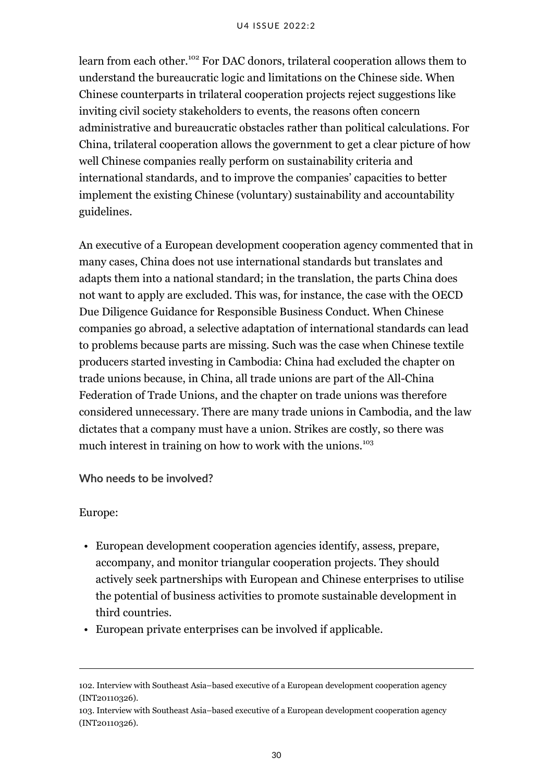learn from each other.<sup>102</sup> For DAC donors, trilateral cooperation allows them to understand the bureaucratic logic and limitations on the Chinese side. When Chinese counterparts in trilateral cooperation projects reject suggestions like inviting civil society stakeholders to events, the reasons often concern administrative and bureaucratic obstacles rather than political calculations. For China, trilateral cooperation allows the government to get a clear picture of how well Chinese companies really perform on sustainability criteria and international standards, and to improve the companies' capacities to better implement the existing Chinese (voluntary) sustainability and accountability guidelines.

An executive of a European development cooperation agency commented that in many cases, China does not use international standards but translates and adapts them into a national standard; in the translation, the parts China does not want to apply are excluded. This was, for instance, the case with the OECD Due Diligence Guidance for Responsible Business Conduct. When Chinese companies go abroad, a selective adaptation of international standards can lead to problems because parts are missing. Such was the case when Chinese textile producers started investing in Cambodia: China had excluded the chapter on trade unions because, in China, all trade unions are part of the All-China Federation of Trade Unions, and the chapter on trade unions was therefore considered unnecessary. There are many trade unions in Cambodia, and the law dictates that a company must have a union. Strikes are costly, so there was much interest in training on how to work with the unions.<sup>103</sup>

#### **Who needs to be involved?**

#### Europe:

- European development cooperation agencies identify, assess, prepare, accompany, and monitor triangular cooperation projects. They should actively seek partnerships with European and Chinese enterprises to utilise the potential of business activities to promote sustainable development in third countries.
- European private enterprises can be involved if applicable.

<sup>102.</sup> Interview with Southeast Asia–based executive of a European development cooperation agency (INT20110326).

<sup>103.</sup> Interview with Southeast Asia–based executive of a European development cooperation agency (INT20110326).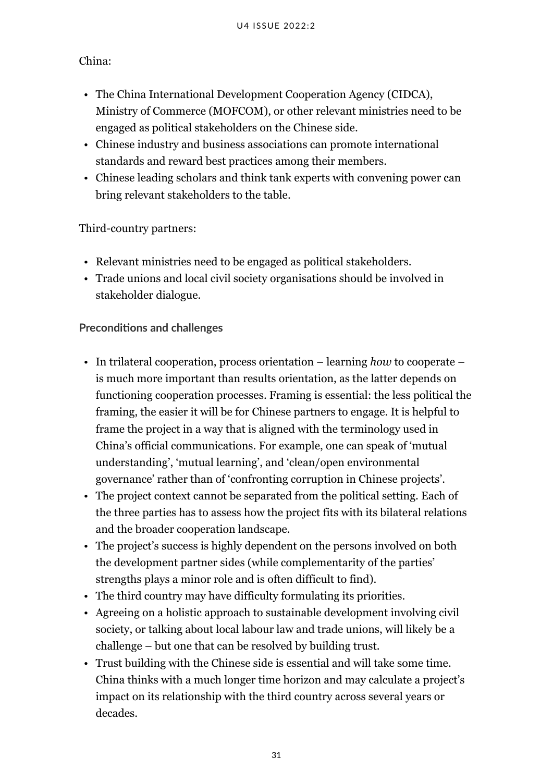### China:

- The China International Development Cooperation Agency (CIDCA), Ministry of Commerce (MOFCOM), or other relevant ministries need to be engaged as political stakeholders on the Chinese side.
- Chinese industry and business associations can promote international standards and reward best practices among their members.
- Chinese leading scholars and think tank experts with convening power can bring relevant stakeholders to the table.

### Third-country partners:

- Relevant ministries need to be engaged as political stakeholders.
- Trade unions and local civil society organisations should be involved in stakeholder dialogue.

#### **Preconditions and challenges**

- In trilateral cooperation, process orientation learning *how* to cooperate is much more important than results orientation, as the latter depends on functioning cooperation processes. Framing is essential: the less political the framing, the easier it will be for Chinese partners to engage. It is helpful to frame the project in a way that is aligned with the terminology used in China's official communications. For example, one can speak of 'mutual understanding', 'mutual learning', and 'clean/open environmental governance' rather than of 'confronting corruption in Chinese projects'.
- The project context cannot be separated from the political setting. Each of the three parties has to assess how the project fits with its bilateral relations and the broader cooperation landscape.
- The project's success is highly dependent on the persons involved on both the development partner sides (while complementarity of the parties' strengths plays a minor role and is often difficult to find).
- The third country may have difficulty formulating its priorities.
- Agreeing on a holistic approach to sustainable development involving civil society, or talking about local labour law and trade unions, will likely be a challenge – but one that can be resolved by building trust.
- Trust building with the Chinese side is essential and will take some time. China thinks with a much longer time horizon and may calculate a project's impact on its relationship with the third country across several years or decades.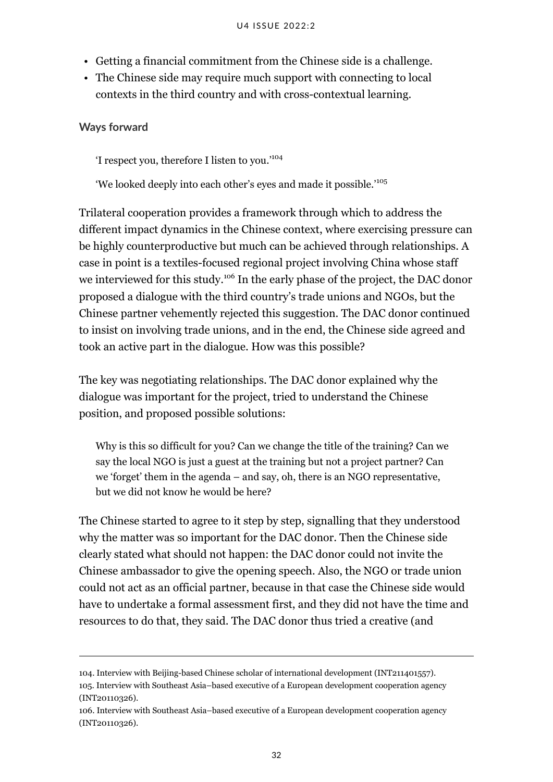- Getting a financial commitment from the Chinese side is a challenge.
- The Chinese side may require much support with connecting to local contexts in the third country and with cross-contextual learning.

#### **Ways forward**

'I respect you, therefore I listen to you.'<sup>104</sup>

'We looked deeply into each other's eyes and made it possible.'<sup>105</sup>

Trilateral cooperation provides a framework through which to address the different impact dynamics in the Chinese context, where exercising pressure can be highly counterproductive but much can be achieved through relationships. A case in point is a textiles-focused regional project involving China whose staff we interviewed for this study.<sup>106</sup> In the early phase of the project, the DAC donor proposed a dialogue with the third country's trade unions and NGOs, but the Chinese partner vehemently rejected this suggestion. The DAC donor continued to insist on involving trade unions, and in the end, the Chinese side agreed and took an active part in the dialogue. How was this possible?

The key was negotiating relationships. The DAC donor explained why the dialogue was important for the project, tried to understand the Chinese position, and proposed possible solutions:

Why is this so difficult for you? Can we change the title of the training? Can we say the local NGO is just a guest at the training but not a project partner? Can we 'forget' them in the agenda – and say, oh, there is an NGO representative, but we did not know he would be here?

The Chinese started to agree to it step by step, signalling that they understood why the matter was so important for the DAC donor. Then the Chinese side clearly stated what should not happen: the DAC donor could not invite the Chinese ambassador to give the opening speech. Also, the NGO or trade union could not act as an official partner, because in that case the Chinese side would have to undertake a formal assessment first, and they did not have the time and resources to do that, they said. The DAC donor thus tried a creative (and

<sup>104.</sup> Interview with Beijing-based Chinese scholar of international development (INT211401557). 105. Interview with Southeast Asia–based executive of a European development cooperation agency (INT20110326).

<sup>106.</sup> Interview with Southeast Asia–based executive of a European development cooperation agency (INT20110326).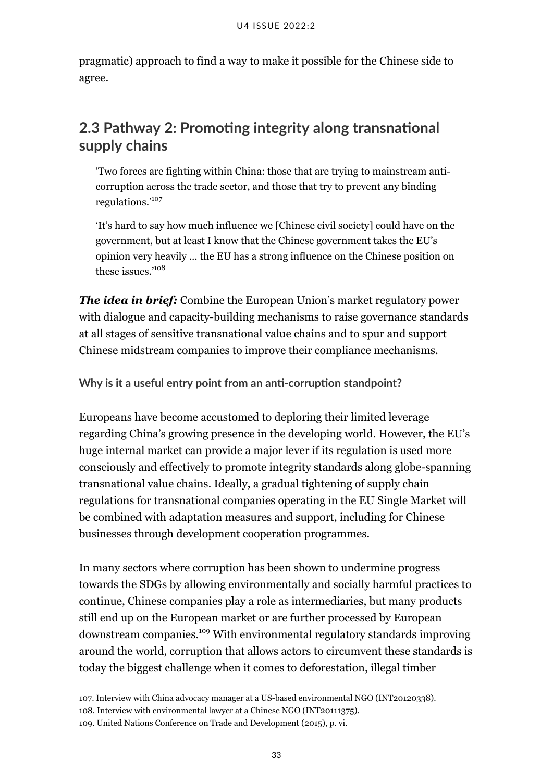pragmatic) approach to find a way to make it possible for the Chinese side to agree.

# <span id="page-38-0"></span>**2.3 Pathway 2: Promoting integrity along transnational supply chains**

'Two forces are fighting within China: those that are trying to mainstream anticorruption across the trade sector, and those that try to prevent any binding regulations.'<sup>107</sup>

'It's hard to say how much influence we [Chinese civil society] could have on the government, but at least I know that the Chinese government takes the EU's opinion very heavily … the EU has a strong influence on the Chinese position on these issues.'<sup>108</sup>

*The idea in brief:* Combine the European Union's market regulatory power with dialogue and capacity-building mechanisms to raise governance standards at all stages of sensitive transnational value chains and to spur and support Chinese midstream companies to improve their compliance mechanisms.

**Why is it a useful entry point from an anti-corruption standpoint?**

Europeans have become accustomed to deploring their limited leverage regarding China's growing presence in the developing world. However, the EU's huge internal market can provide a major lever if its regulation is used more consciously and effectively to promote integrity standards along globe-spanning transnational value chains. Ideally, a gradual tightening of supply chain regulations for transnational companies operating in the EU Single Market will be combined with adaptation measures and support, including for Chinese businesses through development cooperation programmes.

In many sectors where corruption has been shown to undermine progress towards the SDGs by allowing environmentally and socially harmful practices to continue, Chinese companies play a role as intermediaries, but many products still end up on the European market or are further processed by European downstream companies.<sup>109</sup> With environmental regulatory standards improving around the world, corruption that allows actors to circumvent these standards is today the biggest challenge when it comes to deforestation, illegal timber

107. Interview with China advocacy manager at a US-based environmental NGO (INT20120338).

108. Interview with environmental lawyer at a Chinese NGO (INT20111375).

<sup>109.</sup> United Nations Conference on Trade and Development (2015), p. vi.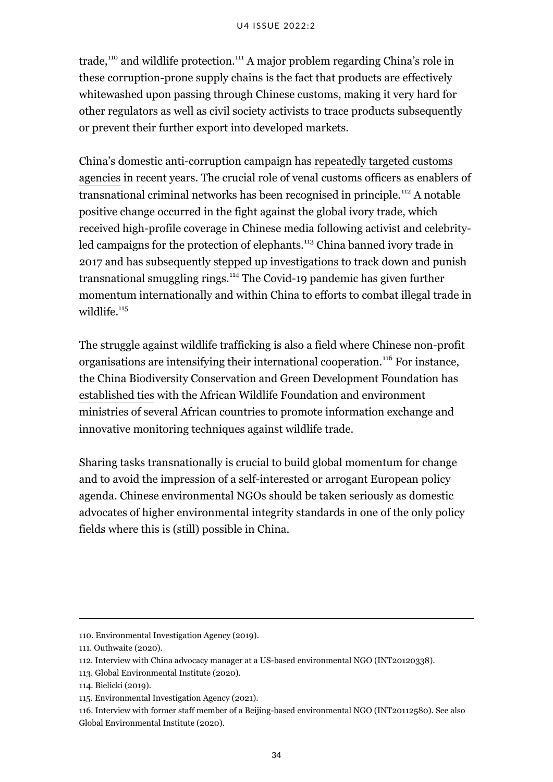trade,<sup>110</sup> and wildlife protection.<sup>111</sup> A major problem regarding China's role in these corruption-prone supply chains is the fact that products are effectively whitewashed upon passing through Chinese customs, making it very hard for other regulators as well as civil society activists to trace products subsequently or prevent their further export into developed markets.

China's domestic anti-corruption campaign has [repeatedly targeted customs](http://www.ccdi.gov.cn/toutiao/201811/t20181116_183494.html) [agencies](http://www.ccdi.gov.cn/toutiao/201811/t20181116_183494.html) in recent years. The crucial role of venal customs officers as enablers of transnational criminal networks has been recognised in principle.<sup>112</sup> A notable positive change occurred in the fight against the global ivory trade, which received high-profile coverage in Chinese media following activist and celebrityled campaigns for the protection of elephants.<sup>113</sup> China banned ivory trade in 2017 and has subsequently [stepped up investigations](https://www.scmp.com/news/china/politics/article/3116034/china-jails-ivory-smuggling-ringleaders-life-landmark-case) to track down and punish transnational smuggling rings.<sup>114</sup> The Covid-19 pandemic has given further momentum internationally and within China to efforts to combat illegal trade in wildlife $115$ 

The struggle against wildlife trafficking is also a field where Chinese non-profit organisations are intensifying their international cooperation.<sup>116</sup> For instance, the China Biodiversity Conservation and Green Development Foundation has [established ties](http://www.cbcgdf.org/NewsShow/4937/5891.html) with the African Wildlife Foundation and environment ministries of several African countries to promote information exchange and innovative monitoring techniques against wildlife trade.

Sharing tasks transnationally is crucial to build global momentum for change and to avoid the impression of a self-interested or arrogant European policy agenda. Chinese environmental NGOs should be taken seriously as domestic advocates of higher environmental integrity standards in one of the only policy fields where this is (still) possible in China.

<sup>110.</sup> Environmental Investigation Agency (2019).

<sup>111.</sup> Outhwaite (2020).

<sup>112.</sup> Interview with China advocacy manager at a US-based environmental NGO (INT20120338).

<sup>113.</sup> Global Environmental Institute (2020).

<sup>114.</sup> Bielicki (2019).

<sup>115.</sup> Environmental Investigation Agency (2021).

<sup>116.</sup> Interview with former staff member of a Beijing-based environmental NGO (INT20112580). See also Global Environmental Institute (2020).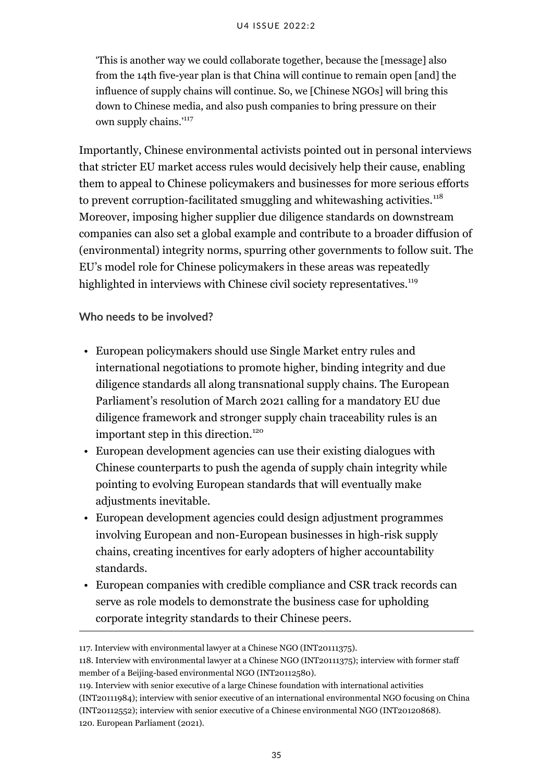'This is another way we could collaborate together, because the [message] also from the 14th five-year plan is that China will continue to remain open [and] the influence of supply chains will continue. So, we [Chinese NGOs] will bring this down to Chinese media, and also push companies to bring pressure on their own supply chains.'<sup>117</sup>

Importantly, Chinese environmental activists pointed out in personal interviews that stricter EU market access rules would decisively help their cause, enabling them to appeal to Chinese policymakers and businesses for more serious efforts to prevent corruption-facilitated smuggling and whitewashing activities.<sup>118</sup> Moreover, imposing higher supplier due diligence standards on downstream companies can also set a global example and contribute to a broader diffusion of (environmental) integrity norms, spurring other governments to follow suit. The EU's model role for Chinese policymakers in these areas was repeatedly highlighted in interviews with Chinese civil society representatives.<sup>119</sup>

**Who needs to be involved?**

- European policymakers should use Single Market entry rules and international negotiations to promote higher, binding integrity and due diligence standards all along transnational supply chains. The European Parliament's resolution of March 2021 calling for a mandatory EU due diligence framework and stronger supply chain traceability rules is an important step in this direction.<sup>120</sup>
- European development agencies can use their existing dialogues with Chinese counterparts to push the agenda of supply chain integrity while pointing to evolving European standards that will eventually make adjustments inevitable.
- European development agencies could design adjustment programmes involving European and non-European businesses in high-risk supply chains, creating incentives for early adopters of higher accountability standards.
- European companies with credible compliance and CSR track records can serve as role models to demonstrate the business case for upholding corporate integrity standards to their Chinese peers.

<sup>117.</sup> Interview with environmental lawyer at a Chinese NGO (INT20111375).

<sup>118.</sup> Interview with environmental lawyer at a Chinese NGO (INT20111375); interview with former staff member of a Beijing-based environmental NGO (INT20112580).

<sup>119.</sup> Interview with senior executive of a large Chinese foundation with international activities (INT20111984); interview with senior executive of an international environmental NGO focusing on China (INT20112552); interview with senior executive of a Chinese environmental NGO (INT20120868). 120. European Parliament (2021).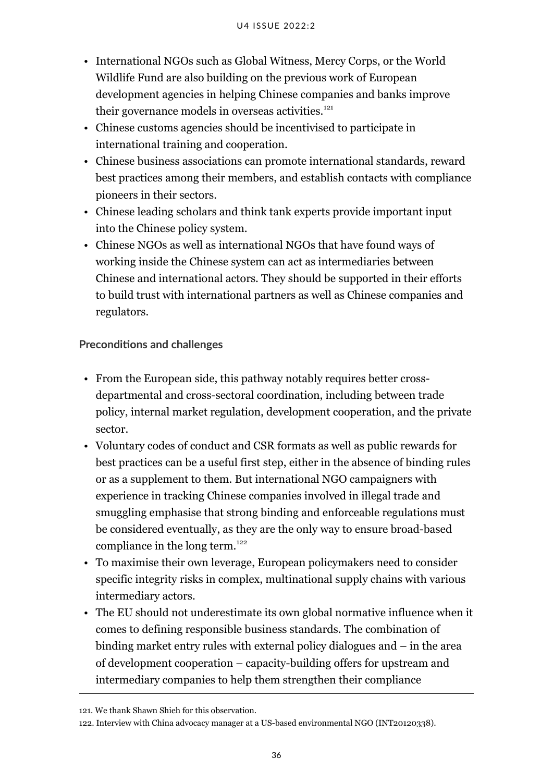- International NGOs such as Global Witness, Mercy Corps, or the World Wildlife Fund are also building on the previous work of European development agencies in helping Chinese companies and banks improve their governance models in overseas activities.<sup>121</sup>
- Chinese customs agencies should be incentivised to participate in international training and cooperation.
- Chinese business associations can promote international standards, reward best practices among their members, and establish contacts with compliance pioneers in their sectors.
- Chinese leading scholars and think tank experts provide important input into the Chinese policy system.
- Chinese NGOs as well as international NGOs that have found ways of working inside the Chinese system can act as intermediaries between Chinese and international actors. They should be supported in their efforts to build trust with international partners as well as Chinese companies and regulators.

#### **Preconditions and challenges**

- From the European side, this pathway notably requires better crossdepartmental and cross-sectoral coordination, including between trade policy, internal market regulation, development cooperation, and the private sector.
- Voluntary codes of conduct and CSR formats as well as public rewards for best practices can be a useful first step, either in the absence of binding rules or as a supplement to them. But international NGO campaigners with experience in tracking Chinese companies involved in illegal trade and smuggling emphasise that strong binding and enforceable regulations must be considered eventually, as they are the only way to ensure broad-based compliance in the long term. $122$
- To maximise their own leverage, European policymakers need to consider specific integrity risks in complex, multinational supply chains with various intermediary actors.
- The EU should not underestimate its own global normative influence when it comes to defining responsible business standards. The combination of binding market entry rules with external policy dialogues and – in the area of development cooperation – capacity-building offers for upstream and intermediary companies to help them strengthen their compliance

<sup>121.</sup> We thank Shawn Shieh for this observation.

<sup>122.</sup> Interview with China advocacy manager at a US-based environmental NGO (INT20120338).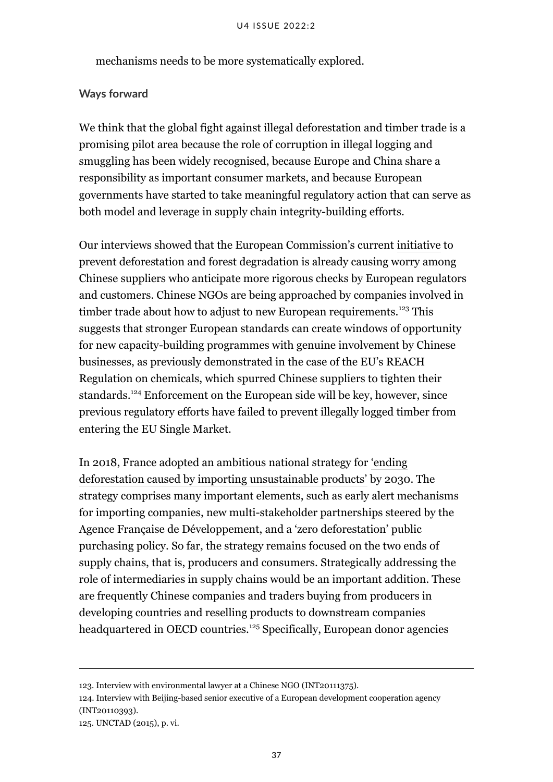mechanisms needs to be more systematically explored.

#### **Ways forward**

We think that the global fight against illegal deforestation and timber trade is a promising pilot area because the role of corruption in illegal logging and smuggling has been widely recognised, because Europe and China share a responsibility as important consumer markets, and because European governments have started to take meaningful regulatory action that can serve as both model and leverage in supply chain integrity-building efforts.

Our interviews showed that the European Commission's current [initiative](https://ec.europa.eu/info/law/better-regulation/have-your-say/initiatives/12137-Minimising-the-risk-of-deforestation-and-forest-degradation-associated-with-products-placed-on-the-EU-market) to prevent deforestation and forest degradation is already causing worry among Chinese suppliers who anticipate more rigorous checks by European regulators and customers. Chinese NGOs are being approached by companies involved in timber trade about how to adjust to new European requirements.<sup>123</sup> This suggests that stronger European standards can create windows of opportunity for new capacity-building programmes with genuine involvement by Chinese businesses, as previously demonstrated in the case of the EU's REACH Regulation on chemicals, which spurred Chinese suppliers to tighten their standards.<sup>124</sup> Enforcement on the European side will be key, however, since previous regulatory efforts have failed to prevent illegally logged timber from entering the EU Single Market.

In 2018, France adopted an ambitious national strategy for ['ending](https://www.gouvernement.fr/en/ending-deforestation-caused-by-importing-unsustainable-products) [deforestation caused by importing unsustainable products'](https://www.gouvernement.fr/en/ending-deforestation-caused-by-importing-unsustainable-products) by 2030. The strategy comprises many important elements, such as early alert mechanisms for importing companies, new multi-stakeholder partnerships steered by the Agence Française de Développement, and a 'zero deforestation' public purchasing policy. So far, the strategy remains focused on the two ends of supply chains, that is, producers and consumers. Strategically addressing the role of intermediaries in supply chains would be an important addition. These are frequently Chinese companies and traders buying from producers in developing countries and reselling products to downstream companies headquartered in OECD countries.<sup>125</sup> Specifically, European donor agencies

<sup>123.</sup> Interview with environmental lawyer at a Chinese NGO (INT20111375).

<sup>124.</sup> Interview with Beijing-based senior executive of a European development cooperation agency (INT20110393).

<sup>125.</sup> UNCTAD (2015), p. vi.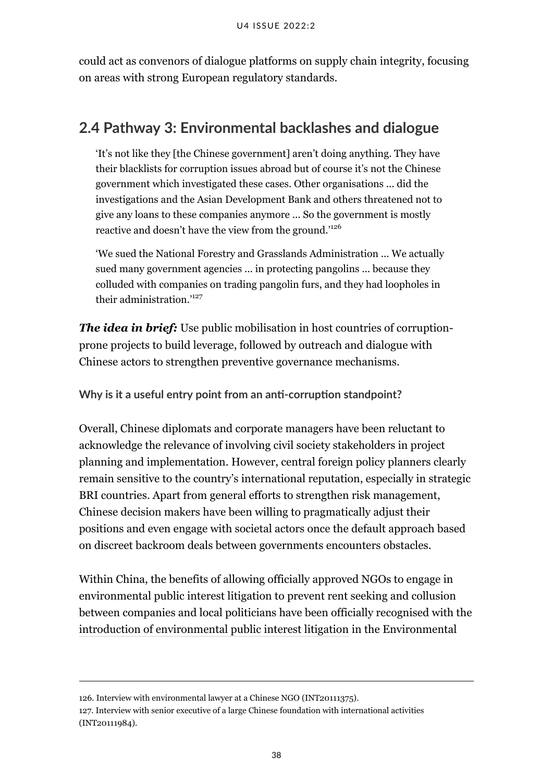could act as convenors of dialogue platforms on supply chain integrity, focusing on areas with strong European regulatory standards.

### <span id="page-43-0"></span>**2.4 Pathway 3: Environmental backlashes and dialogue**

'It's not like they [the Chinese government] aren't doing anything. They have their blacklists for corruption issues abroad but of course it's not the Chinese government which investigated these cases. Other organisations ... did the investigations and the Asian Development Bank and others threatened not to give any loans to these companies anymore ... So the government is mostly reactive and doesn't have the view from the ground.'<sup>126</sup>

'We sued the National Forestry and Grasslands Administration ... We actually sued many government agencies ... in protecting pangolins ... because they colluded with companies on trading pangolin furs, and they had loopholes in their administration.'<sup>127</sup>

*The idea in brief:* Use public mobilisation in host countries of corruptionprone projects to build leverage, followed by outreach and dialogue with Chinese actors to strengthen preventive governance mechanisms.

**Why is it a useful entry point from an anti-corruption standpoint?**

Overall, Chinese diplomats and corporate managers have been reluctant to acknowledge the relevance of involving civil society stakeholders in project planning and implementation. However, central foreign policy planners clearly remain sensitive to the country's international reputation, especially in strategic BRI countries. Apart from general efforts to strengthen risk management, Chinese decision makers have been willing to pragmatically adjust their positions and even engage with societal actors once the default approach based on discreet backroom deals between governments encounters obstacles.

Within China, the benefits of allowing officially approved NGOs to engage in environmental public interest litigation to prevent rent seeking and collusion between companies and local politicians have been officially recognised with the [introduction of environmental public interest litigation](https://chinadialogue.net/en/pollution/6937-china-s-new-environmental-law-looks-good-on-paper/) in the Environmental

<sup>126.</sup> Interview with environmental lawyer at a Chinese NGO (INT20111375).

<sup>127.</sup> Interview with senior executive of a large Chinese foundation with international activities (INT20111984).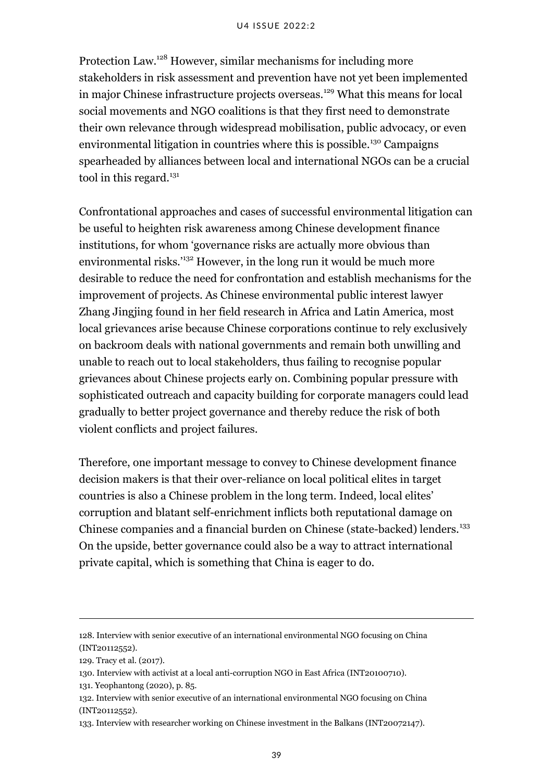Protection Law.<sup>128</sup> However, similar mechanisms for including more stakeholders in risk assessment and prevention have not yet been implemented in major Chinese infrastructure projects overseas.<sup>129</sup> What this means for local social movements and NGO coalitions is that they first need to demonstrate their own relevance through widespread mobilisation, public advocacy, or even environmental litigation in countries where this is possible.<sup>130</sup> Campaigns spearheaded by alliances between local and international NGOs can be a crucial tool in this regard. $131$ 

Confrontational approaches and cases of successful environmental litigation can be useful to heighten risk awareness among Chinese development finance institutions, for whom 'governance risks are actually more obvious than environmental risks.<sup>'132</sup> However, in the long run it would be much more desirable to reduce the need for confrontation and establish mechanisms for the improvement of projects. As Chinese environmental public interest lawyer Zhang Jingjing [found in her field research](https://chinadialogue.net/en/business/10258-china-needs-urgent-oversight-of-investments/) in Africa and Latin America, most local grievances arise because Chinese corporations continue to rely exclusively on backroom deals with national governments and remain both unwilling and unable to reach out to local stakeholders, thus failing to recognise popular grievances about Chinese projects early on. Combining popular pressure with sophisticated outreach and capacity building for corporate managers could lead gradually to better project governance and thereby reduce the risk of both violent conflicts and project failures.

Therefore, one important message to convey to Chinese development finance decision makers is that their over-reliance on local political elites in target countries is also a Chinese problem in the long term. Indeed, local elites' corruption and blatant self-enrichment inflicts both reputational damage on Chinese companies and a financial burden on Chinese (state-backed) lenders.<sup>133</sup> On the upside, better governance could also be a way to attract international private capital, which is something that China is eager to do.

<sup>128.</sup> Interview with senior executive of an international environmental NGO focusing on China (INT20112552).

<sup>129.</sup> Tracy et al. (2017).

<sup>130.</sup> Interview with activist at a local anti-corruption NGO in East Africa (INT20100710).

<sup>131.</sup> Yeophantong (2020), p. 85.

<sup>132.</sup> Interview with senior executive of an international environmental NGO focusing on China (INT20112552).

<sup>133.</sup> Interview with researcher working on Chinese investment in the Balkans (INT20072147).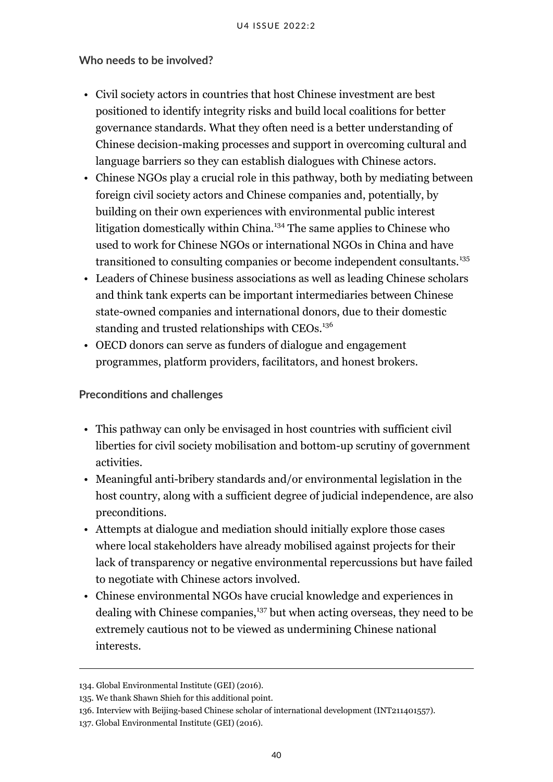#### **Who needs to be involved?**

- Civil society actors in countries that host Chinese investment are best positioned to identify integrity risks and build local coalitions for better governance standards. What they often need is a better understanding of Chinese decision-making processes and support in overcoming cultural and language barriers so they can establish dialogues with Chinese actors.
- Chinese NGOs play a crucial role in this pathway, both by mediating between foreign civil society actors and Chinese companies and, potentially, by building on their own experiences with environmental public interest litigation domestically within China.<sup>134</sup> The same applies to Chinese who used to work for Chinese NGOs or international NGOs in China and have transitioned to consulting companies or become independent consultants.<sup>135</sup>
- Leaders of Chinese business associations as well as leading Chinese scholars and think tank experts can be important intermediaries between Chinese state-owned companies and international donors, due to their domestic standing and trusted relationships with CEOs.<sup>136</sup>
- OECD donors can serve as funders of dialogue and engagement programmes, platform providers, facilitators, and honest brokers.

#### **Preconditions and challenges**

- This pathway can only be envisaged in host countries with sufficient civil liberties for civil society mobilisation and bottom-up scrutiny of government activities.
- Meaningful anti-bribery standards and/or environmental legislation in the host country, along with a sufficient degree of judicial independence, are also preconditions.
- Attempts at dialogue and mediation should initially explore those cases where local stakeholders have already mobilised against projects for their lack of transparency or negative environmental repercussions but have failed to negotiate with Chinese actors involved.
- Chinese environmental NGOs have crucial knowledge and experiences in dealing with Chinese companies,<sup>137</sup> but when acting overseas, they need to be extremely cautious not to be viewed as undermining Chinese national interests.

<sup>134.</sup> Global Environmental Institute (GEI) (2016).

<sup>135.</sup> We thank Shawn Shieh for this additional point.

<sup>136.</sup> Interview with Beijing-based Chinese scholar of international development (INT211401557).

<sup>137.</sup> Global Environmental Institute (GEI) (2016).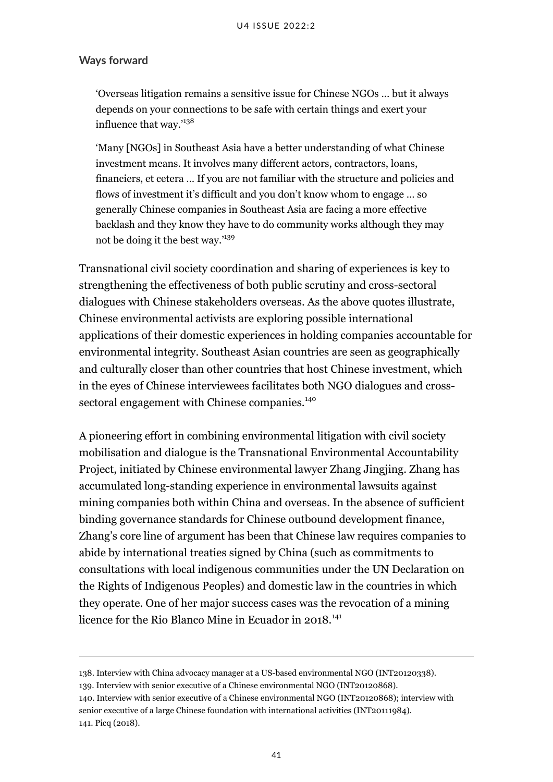#### **Ways forward**

'Overseas litigation remains a sensitive issue for Chinese NGOs … but it always depends on your connections to be safe with certain things and exert your influence that way.'<sup>138</sup>

'Many [NGOs] in Southeast Asia have a better understanding of what Chinese investment means. It involves many different actors, contractors, loans, financiers, et cetera … If you are not familiar with the structure and policies and flows of investment it's difficult and you don't know whom to engage … so generally Chinese companies in Southeast Asia are facing a more effective backlash and they know they have to do community works although they may not be doing it the best way.'<sup>139</sup>

Transnational civil society coordination and sharing of experiences is key to strengthening the effectiveness of both public scrutiny and cross-sectoral dialogues with Chinese stakeholders overseas. As the above quotes illustrate, Chinese environmental activists are exploring possible international applications of their domestic experiences in holding companies accountable for environmental integrity. Southeast Asian countries are seen as geographically and culturally closer than other countries that host Chinese investment, which in the eyes of Chinese interviewees facilitates both NGO dialogues and crosssectoral engagement with Chinese companies.<sup>140</sup>

A pioneering effort in combining environmental litigation with civil society mobilisation and dialogue is the Transnational Environmental Accountability Project, initiated by Chinese environmental lawyer Zhang Jingjing. Zhang has accumulated long-standing experience in environmental lawsuits against mining companies both within China and overseas. In the absence of sufficient binding governance standards for Chinese outbound development finance, Zhang's core line of argument has been that Chinese law requires companies to abide by international treaties signed by China (such as commitments to consultations with local indigenous communities under the UN Declaration on the Rights of Indigenous Peoples) and domestic law in the countries in which they operate. One of her major success cases was the revocation of a mining licence for the Rio Blanco Mine in Ecuador in 2018.<sup>141</sup>

<sup>138.</sup> Interview with China advocacy manager at a US-based environmental NGO (INT20120338).

<sup>139.</sup> Interview with senior executive of a Chinese environmental NGO (INT20120868).

<sup>140.</sup> Interview with senior executive of a Chinese environmental NGO (INT20120868); interview with senior executive of a large Chinese foundation with international activities (INT20111984). 141. Picq (2018).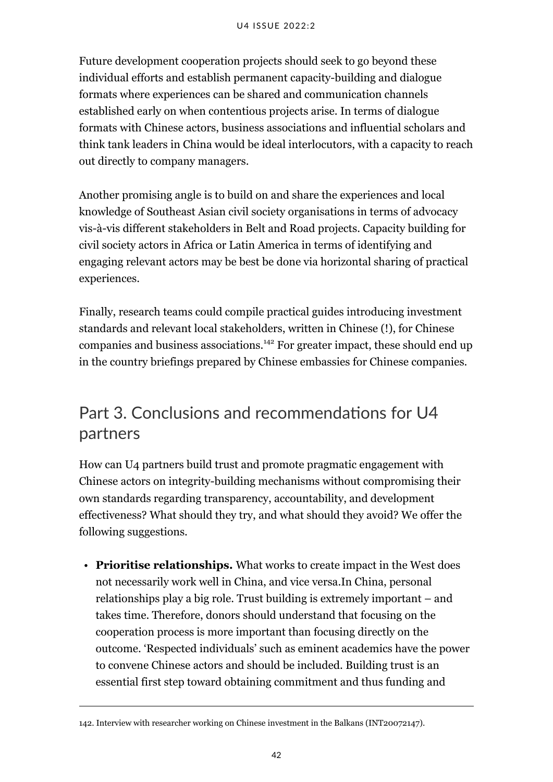Future development cooperation projects should seek to go beyond these individual efforts and establish permanent capacity-building and dialogue formats where experiences can be shared and communication channels established early on when contentious projects arise. In terms of dialogue formats with Chinese actors, business associations and influential scholars and think tank leaders in China would be ideal interlocutors, with a capacity to reach out directly to company managers.

Another promising angle is to build on and share the experiences and local knowledge of Southeast Asian civil society organisations in terms of advocacy vis-à-vis different stakeholders in Belt and Road projects. Capacity building for civil society actors in Africa or Latin America in terms of identifying and engaging relevant actors may be best be done via horizontal sharing of practical experiences.

Finally, research teams could compile practical guides introducing investment standards and relevant local stakeholders, written in Chinese (!), for Chinese companies and business associations.<sup>142</sup> For greater impact, these should end up in the country briefings prepared by Chinese embassies for Chinese companies.

# <span id="page-47-0"></span>Part 3. Conclusions and recommendations for U4 partners

How can U4 partners build trust and promote pragmatic engagement with Chinese actors on integrity-building mechanisms without compromising their own standards regarding transparency, accountability, and development effectiveness? What should they try, and what should they avoid? We offer the following suggestions.

• **Prioritise relationships.** What works to create impact in the West does not necessarily work well in China, and vice versa.In China, personal relationships play a big role. Trust building is extremely important – and takes time. Therefore, donors should understand that focusing on the cooperation process is more important than focusing directly on the outcome. 'Respected individuals' such as eminent academics have the power to convene Chinese actors and should be included. Building trust is an essential first step toward obtaining commitment and thus funding and

<sup>142.</sup> Interview with researcher working on Chinese investment in the Balkans (INT20072147).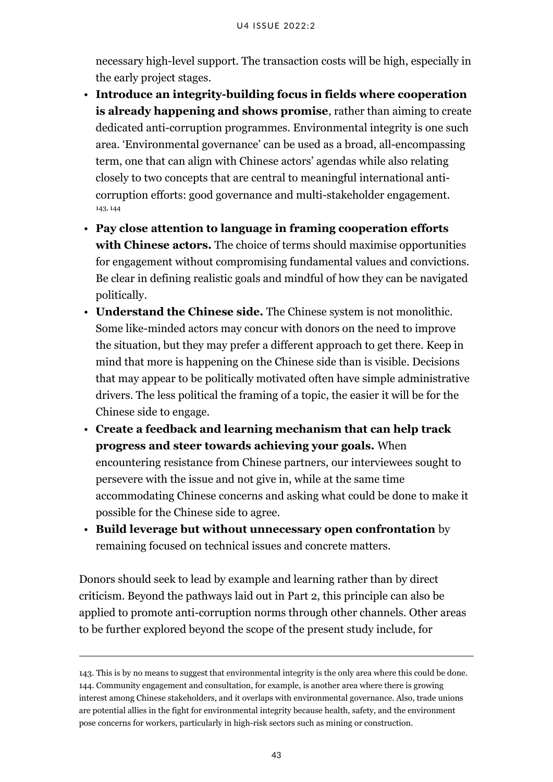necessary high-level support. The transaction costs will be high, especially in the early project stages.

- **Introduce an integrity-building focus in fields where cooperation is already happening and shows promise**, rather than aiming to create dedicated anti-corruption programmes. Environmental integrity is one such area. 'Environmental governance' can be used as a broad, all-encompassing term, one that can align with Chinese actors' agendas while also relating closely to two concepts that are central to meaningful international anticorruption efforts: good governance and multi-stakeholder engagement. 143, 144
- **Pay close attention to language in framing cooperation efforts with Chinese actors.** The choice of terms should maximise opportunities for engagement without compromising fundamental values and convictions. Be clear in defining realistic goals and mindful of how they can be navigated politically.
- **Understand the Chinese side.** The Chinese system is not monolithic. Some like-minded actors may concur with donors on the need to improve the situation, but they may prefer a different approach to get there. Keep in mind that more is happening on the Chinese side than is visible. Decisions that may appear to be politically motivated often have simple administrative drivers. The less political the framing of a topic, the easier it will be for the Chinese side to engage.
- **Create a feedback and learning mechanism that can help track progress and steer towards achieving your goals.** When encountering resistance from Chinese partners, our interviewees sought to persevere with the issue and not give in, while at the same time accommodating Chinese concerns and asking what could be done to make it possible for the Chinese side to agree.
- **Build leverage but without unnecessary open confrontation** by remaining focused on technical issues and concrete matters.

Donors should seek to lead by example and learning rather than by direct criticism. Beyond the pathways laid out in Part 2, this principle can also be applied to promote anti-corruption norms through other channels. Other areas to be further explored beyond the scope of the present study include, for

<sup>143.</sup> This is by no means to suggest that environmental integrity is the only area where this could be done. 144. Community engagement and consultation, for example, is another area where there is growing interest among Chinese stakeholders, and it overlaps with environmental governance. Also, trade unions are potential allies in the fight for environmental integrity because health, safety, and the environment pose concerns for workers, particularly in high-risk sectors such as mining or construction.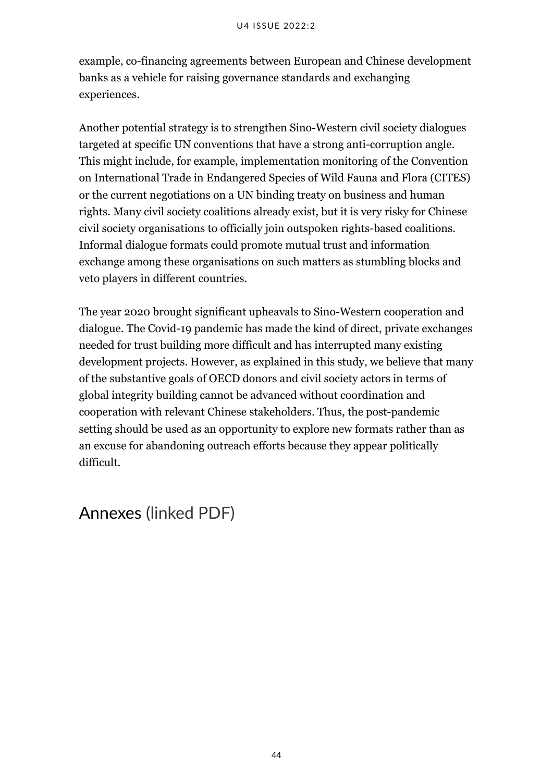example, co-financing agreements between European and Chinese development banks as a vehicle for raising governance standards and exchanging experiences.

Another potential strategy is to strengthen Sino-Western civil society dialogues targeted at specific UN conventions that have a strong anti-corruption angle. This might include, for example, implementation monitoring of the Convention on International Trade in Endangered Species of Wild Fauna and Flora (CITES) or the current negotiations on a UN binding treaty on business and human rights. Many civil society coalitions already exist, but it is very risky for Chinese civil society organisations to officially join outspoken rights-based coalitions. Informal dialogue formats could promote mutual trust and information exchange among these organisations on such matters as stumbling blocks and veto players in different countries.

The year 2020 brought significant upheavals to Sino-Western cooperation and dialogue. The Covid-19 pandemic has made the kind of direct, private exchanges needed for trust building more difficult and has interrupted many existing development projects. However, as explained in this study, we believe that many of the substantive goals of OECD donors and civil society actors in terms of global integrity building cannot be advanced without coordination and cooperation with relevant Chinese stakeholders. Thus, the post-pandemic setting should be used as an opportunity to explore new formats rather than as an excuse for abandoning outreach efforts because they appear politically difficult.

# <span id="page-49-0"></span>Annexes (linked PDF)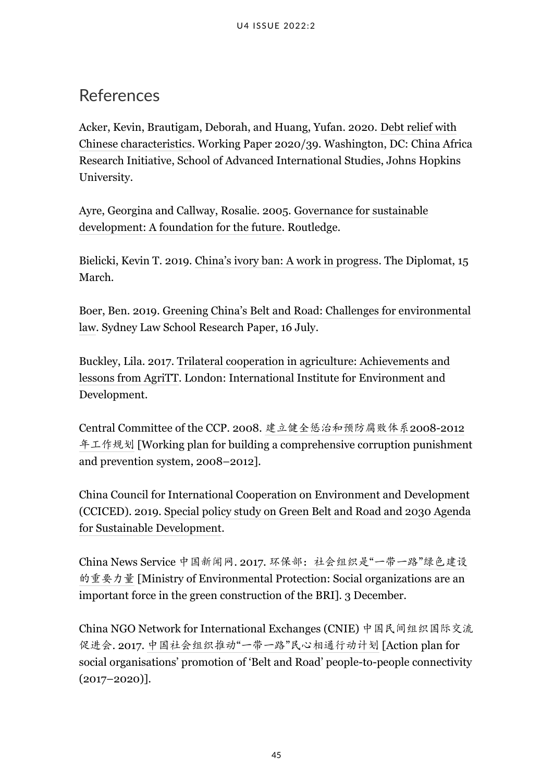# <span id="page-50-0"></span>References

Acker, Kevin, Brautigam, Deborah, and Huang, Yufan. 2020. [Debt relief with](http://www.sais-cari.org/s/WP-39-Acker-Brautigam-Huang-Debt-Relief.pdf) [Chinese characteristics.](http://www.sais-cari.org/s/WP-39-Acker-Brautigam-Huang-Debt-Relief.pdf) Working Paper 2020/39. Washington, DC: China Africa Research Initiative, School of Advanced International Studies, Johns Hopkins University.

Ayre, Georgina and Callway, Rosalie. 2005. [Governance for sustainable](https://www.routledge.com/Governance-for-Sustainable-Development-A-Foundation-for-the-Future/Ayre-Callway/p/book/9781844072088) [development: A foundation for the future](https://www.routledge.com/Governance-for-Sustainable-Development-A-Foundation-for-the-Future/Ayre-Callway/p/book/9781844072088). Routledge.

Bielicki, Kevin T. 2019. [China's ivory ban: A work in progress.](https://thediplomat.com/2019/03/chinas-ivory-ban-a-work-in-progress/#:~:text=China) The Diplomat, 15 March.

Boer, Ben. 2019. [Greening China's Belt and Road: Challenges for environmental](https://papers.ssrn.com/sol3/papers.cfm?abstract_id=3420544) [law](https://papers.ssrn.com/sol3/papers.cfm?abstract_id=3420544). Sydney Law School Research Paper, 16 July.

Buckley, Lila. 2017. [Trilateral cooperation in agriculture: Achievements and](https://pubs.iied.org/g04145) [lessons from AgriTT](https://pubs.iied.org/g04145). London: International Institute for Environment and Development.

Central Committee of the CCP. 2008. [建立健全惩治和预防腐败体系](https://pkulaw.cn/fulltext_form.aspx?Db=chl&Gid=36e4c049d2dace40bdfb)2008-2012 [年工作规划](https://pkulaw.cn/fulltext_form.aspx?Db=chl&Gid=36e4c049d2dace40bdfb) [Working plan for building a comprehensive corruption punishment and prevention system, 2008–2012].

China Council for International Cooperation on Environment and Development (CCICED). 2019. [Special policy study on Green Belt and Road and 2030 Agenda](http://www.cciced.net/cciceden/POLICY/rr/prr/2019/201908/P020190830114510806593.pdf) [for Sustainable Development.](http://www.cciced.net/cciceden/POLICY/rr/prr/2019/201908/P020190830114510806593.pdf)

China News Service 中国新闻网. 2017. [环保部:社会组织是](http://news.sina.com.cn/o/2017-12-03/doc-ifyphtze3763543.shtml)"一带一路"绿色建设 [的重要力量](http://news.sina.com.cn/o/2017-12-03/doc-ifyphtze3763543.shtml) [Ministry of Environmental Protection: Social organizations are an important force in the green construction of the BRI]. 3 December.

China NGO Network for International Exchanges (CNIE) 中国民间组织国际交流 促进会. 2017. 中国社会组织推动"一带一路"[民心相通行动计划](http://sironet.cnie.org.cn/cnie_cn/xxfb_203/201711/t20171102_93023.html) [Action plan for social organisations' promotion of 'Belt and Road' people-to-people connectivity (2017–2020)].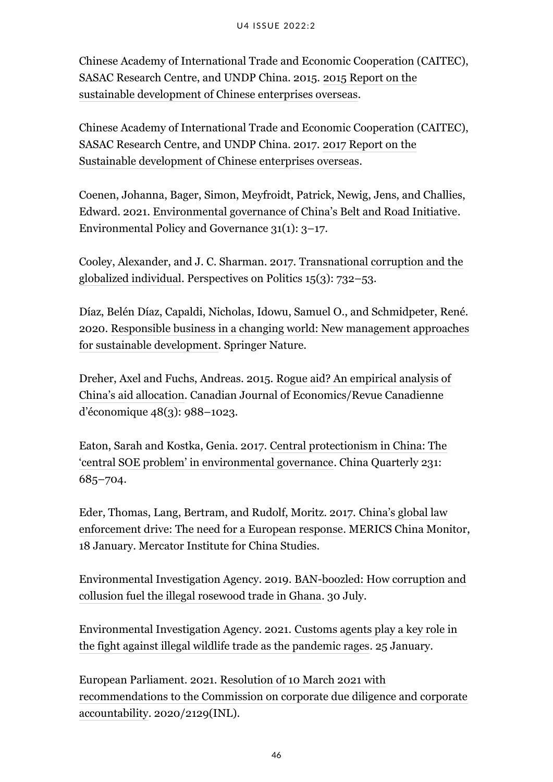Chinese Academy of International Trade and Economic Cooperation (CAITEC), SASAC Research Centre, and UNDP China. 2015. [2015 Report on the](https://www.cn.undp.org/content/china/en/home/library/south-south-cooperation/2015-report-on-the-sustainable-development-of-chinese-enterprise/) [sustainable development of Chinese enterprises overseas](https://www.cn.undp.org/content/china/en/home/library/south-south-cooperation/2015-report-on-the-sustainable-development-of-chinese-enterprise/).

Chinese Academy of International Trade and Economic Cooperation (CAITEC), SASAC Research Centre, and UNDP China. 2017. [2017 Report on the](https://www.cn.undp.org/content/china/en/home/library/south-south-cooperation/2017-report-on-the-sustainable-development-of-chinese-enterprise.html) [Sustainable development of Chinese enterprises overseas.](https://www.cn.undp.org/content/china/en/home/library/south-south-cooperation/2017-report-on-the-sustainable-development-of-chinese-enterprise.html)

Coenen, Johanna, Bager, Simon, Meyfroidt, Patrick, Newig, Jens, and Challies, Edward. 2021. [Environmental governance of China's Belt and Road Initiative.](https://onlinelibrary.wiley.com/doi/10.1002/eet.1901) Environmental Policy and Governance 31(1): 3–17.

Cooley, Alexander, and J. C. Sharman. 2017. [Transnational corruption and the](https://www.cambridge.org/core/journals/perspectives-on-politics/article/abs/transnational-corruption-and-the-globalized-individual/18E7DAF986E65BF94BE2621163AEE891) [globalized individual](https://www.cambridge.org/core/journals/perspectives-on-politics/article/abs/transnational-corruption-and-the-globalized-individual/18E7DAF986E65BF94BE2621163AEE891). Perspectives on Politics 15(3): 732–53.

Díaz, Belén Díaz, Capaldi, Nicholas, Idowu, Samuel O., and Schmidpeter, René. 2020. [Responsible business in a changing world: New management approaches](https://www.springer.com/gp/book/9783030369699) [for sustainable development.](https://www.springer.com/gp/book/9783030369699) Springer Nature.

Dreher, Axel and Fuchs, Andreas. 2015. [Rogue aid? An empirical analysis of](https://onlinelibrary.wiley.com/doi/10.1111/caje.12166) [China's aid allocation.](https://onlinelibrary.wiley.com/doi/10.1111/caje.12166) Canadian Journal of Economics/Revue Canadienne d'économique 48(3): 988–1023.

Eaton, Sarah and Kostka, Genia. 2017. [Central protectionism in China: The](https://www.cambridge.org/core/journals/china-quarterly/article/central-protectionism-in-china-the-central-soe-problem-in-environmental-governance/42D6B6E158861C4FC2B7B76C878AFCC1) ['central SOE problem' in environmental governance](https://www.cambridge.org/core/journals/china-quarterly/article/central-protectionism-in-china-the-central-soe-problem-in-environmental-governance/42D6B6E158861C4FC2B7B76C878AFCC1). China Quarterly 231: 685–704.

Eder, Thomas, Lang, Bertram, and Rudolf, Moritz. 2017. [China's global law](https://merics.org/sites/default/files/2020-05/China) [enforcement drive: The need for a European response.](https://merics.org/sites/default/files/2020-05/China) MERICS China Monitor, 18 January. Mercator Institute for China Studies.

Environmental Investigation Agency. 2019. [BAN-boozled: How corruption and](https://eia-global.org/reports/20190730-banboozled-ghana-rosewood-report#:~:text=Our%2520new%2520report%2520BAN%252DBOOZLED,the%2520victims%2520of%2520rosewood%2520plundering.) [collusion fuel the illegal rosewood trade in Ghana](https://eia-global.org/reports/20190730-banboozled-ghana-rosewood-report#:~:text=Our%2520new%2520report%2520BAN%252DBOOZLED,the%2520victims%2520of%2520rosewood%2520plundering.). 30 July.

Environmental Investigation Agency. 2021. [Customs agents play a key role in](https://eia-international.org/news/customs-agents-play-a-key-role-in-the-fight-against-illegal-wildlife-trade-as-the-pandemic-rages/) [the fight against illegal wildlife trade as the pandemic rages](https://eia-international.org/news/customs-agents-play-a-key-role-in-the-fight-against-illegal-wildlife-trade-as-the-pandemic-rages/). 25 January.

European Parliament. 2021. [Resolution of 10 March 2021 with](https://www.europarl.europa.eu/doceo/document/TA-9-2021-0073_EN.html) [recommendations to the Commission on corporate due diligence and corporate](https://www.europarl.europa.eu/doceo/document/TA-9-2021-0073_EN.html) [accountability.](https://www.europarl.europa.eu/doceo/document/TA-9-2021-0073_EN.html) 2020/2129(INL).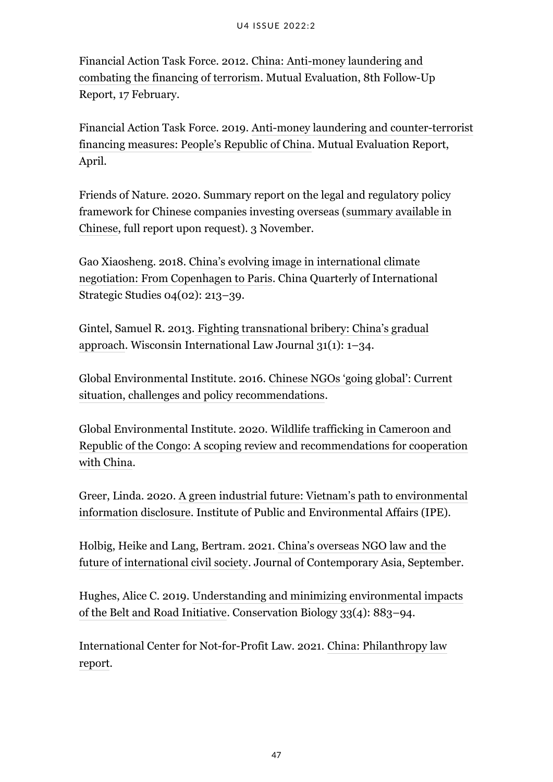Financial Action Task Force. 2012. [China: Anti-money laundering and](https://www.fatf-gafi.org/media/fatf/documents/reports/mer/Follow%2520Up%2520MER%2520China.pdf) [combating the financing of terrorism](https://www.fatf-gafi.org/media/fatf/documents/reports/mer/Follow%2520Up%2520MER%2520China.pdf). Mutual Evaluation, 8th Follow-Up Report, 17 February.

Financial Action Task Force. 2019. [Anti-money laundering and counter-terrorist](https://www.fatf-gafi.org/media/fatf/documents/reports/mer4/MER-China-2019.pdf) [financing measures: People's Republic of China.](https://www.fatf-gafi.org/media/fatf/documents/reports/mer4/MER-China-2019.pdf) Mutual Evaluation Report, April.

Friends of Nature. 2020. Summary report on the legal and regulatory policy framework for Chinese companies investing overseas ([summary available in](http://www.fon.org.cn/action/way/content/121.html) [Chinese](http://www.fon.org.cn/action/way/content/121.html), full report upon request). 3 November.

Gao Xiaosheng. 2018. [China's evolving image in international climate](https://www.worldscientific.com/doi/abs/10.1142/S2377740018500112) [negotiation: From Copenhagen to Paris](https://www.worldscientific.com/doi/abs/10.1142/S2377740018500112). China Quarterly of International Strategic Studies 04(02): 213–39.

Gintel, Samuel R. 2013. [Fighting transnational bribery: China's gradual](https://heinonline.org/HOL/LandingPage?handle=hein.journals/wisint31&div=5&id=&page=) [approach.](https://heinonline.org/HOL/LandingPage?handle=hein.journals/wisint31&div=5&id=&page=) Wisconsin International Law Journal 31(1): 1–34.

Global Environmental Institute. 2016. [Chinese NGOs 'going global': Current](http://www.geichina.org/_upload/file/report/NGO_Going_Out_EN.pdf) [situation, challenges and policy recommendations.](http://www.geichina.org/_upload/file/report/NGO_Going_Out_EN.pdf)

Global Environmental Institute. 2020. [Wildlife trafficking in Cameroon and](http://www.geichina.org/en/wp-content/uploads/2020/07/Illegal-wildlife-trade_Cameroon-and-Congo.pdf) [Republic of the Congo: A scoping review and recommendations for cooperation](http://www.geichina.org/en/wp-content/uploads/2020/07/Illegal-wildlife-trade_Cameroon-and-Congo.pdf) [with China.](http://www.geichina.org/en/wp-content/uploads/2020/07/Illegal-wildlife-trade_Cameroon-and-Congo.pdf)

Greer, Linda. 2020. [A green industrial future: Vietnam's path to environmental](https://wwwoa.ipe.org.cn/Upload/202012180935328792.pdf) [information disclosure](https://wwwoa.ipe.org.cn/Upload/202012180935328792.pdf). Institute of Public and Environmental Affairs (IPE).

Holbig, Heike and Lang, Bertram. 2021. [China's overseas NGO law and the](https://www.tandfonline.com/doi/full/10.1080/00472336.2021.1955292) [future of international civil society](https://www.tandfonline.com/doi/full/10.1080/00472336.2021.1955292). Journal of Contemporary Asia, September.

Hughes, Alice C. 2019. [Understanding and minimizing environmental impacts](https://conbio.onlinelibrary.wiley.com/doi/10.1111/cobi.13317) [of the Belt and Road Initiative](https://conbio.onlinelibrary.wiley.com/doi/10.1111/cobi.13317). Conservation Biology 33(4): 883–94.

International Center for Not-for-Profit Law. 2021. [China: Philanthropy law](https://www.icnl.org/wp-content/uploads/China-PLR-report-July-2021.pdf) [report](https://www.icnl.org/wp-content/uploads/China-PLR-report-July-2021.pdf).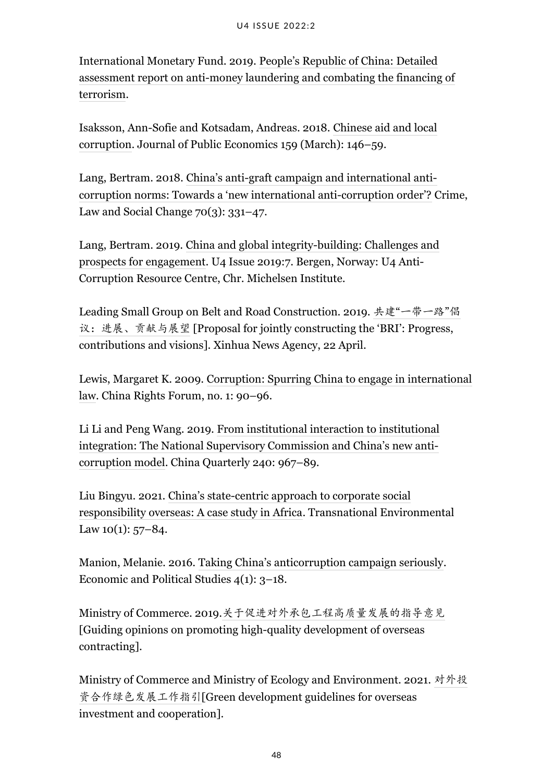International Monetary Fund. 2019. [People's Republic of China: Detailed](https://www.imf.org/en/Publications/CR/Issues/2019/06/20/Peoples-Republic-of-China-Detailed-Assessment-Report-on-Anti-Money-Laundering-and-Combating-47009) [assessment report on anti-money laundering and combating the financing of](https://www.imf.org/en/Publications/CR/Issues/2019/06/20/Peoples-Republic-of-China-Detailed-Assessment-Report-on-Anti-Money-Laundering-and-Combating-47009) [terrorism](https://www.imf.org/en/Publications/CR/Issues/2019/06/20/Peoples-Republic-of-China-Detailed-Assessment-Report-on-Anti-Money-Laundering-and-Combating-47009).

Isaksson, Ann-Sofie and Kotsadam, Andreas. 2018. [Chinese aid and local](https://www.sciencedirect.com/science/article/pii/S0047272718300021) [corruption.](https://www.sciencedirect.com/science/article/pii/S0047272718300021) Journal of Public Economics 159 (March): 146–59.

Lang, Bertram. 2018. [China's anti-graft campaign and international anti](https://link.springer.com/article/10.1007/s10611-017-9742-y)[corruption norms: Towards a 'new international anti-corruption order'?](https://link.springer.com/article/10.1007/s10611-017-9742-y) Crime, Law and Social Change  $70(3)$ : 331–47.

Lang, Bertram. 2019. [China and global integrity-building: Challenges and](https://www.u4.no/publications/china-and-global-integrity-building-challenges-and-prospects-for-engagement.pdf) [prospects for engagement.](https://www.u4.no/publications/china-and-global-integrity-building-challenges-and-prospects-for-engagement.pdf) U4 Issue 2019:7. Bergen, Norway: U4 Anti-Corruption Resource Centre, Chr. Michelsen Institute.

Leading Small Group on Belt and Road Construction. 2019. 共建"[一带一路](http://www.xinhuanet.com/2019-04/22/c_1124400071.htm)"倡 [议:进展、贡献与展望](http://www.xinhuanet.com/2019-04/22/c_1124400071.htm) [Proposal for jointly constructing the 'BRI': Progress, contributions and visions]. Xinhua News Agency, 22 April.

Lewis, Margaret K. 2009. [Corruption: Spurring China to engage in international](https://papers.ssrn.com/sol3/papers.cfm?abstract_id=1432467) [law](https://papers.ssrn.com/sol3/papers.cfm?abstract_id=1432467). China Rights Forum, no. 1: 90–96.

Li Li and Peng Wang. 2019. [From institutional interaction to institutional](https://www.cambridge.org/core/journals/china-quarterly/article/abs/from-institutional-interaction-to-institutional-integration-the-national-supervisory-commission-and-chinas-new-anticorruption-model/154F3BFE419EEC69A2E453F7353E1A51) [integration: The National Supervisory Commission and China's new anti](https://www.cambridge.org/core/journals/china-quarterly/article/abs/from-institutional-interaction-to-institutional-integration-the-national-supervisory-commission-and-chinas-new-anticorruption-model/154F3BFE419EEC69A2E453F7353E1A51)[corruption model.](https://www.cambridge.org/core/journals/china-quarterly/article/abs/from-institutional-interaction-to-institutional-integration-the-national-supervisory-commission-and-chinas-new-anticorruption-model/154F3BFE419EEC69A2E453F7353E1A51) China Quarterly 240: 967–89.

Liu Bingyu. 2021. [China's state-centric approach to corporate social](https://www.cambridge.org/core/journals/transnational-environmental-law/article/abs/chinas-statecentric-approach-to-corporate-social-responsibility-overseas-a-case-study-in-africa/CB730A70B6B5423EAE71600B5F6044C2) [responsibility overseas: A case study in Africa.](https://www.cambridge.org/core/journals/transnational-environmental-law/article/abs/chinas-statecentric-approach-to-corporate-social-responsibility-overseas-a-case-study-in-africa/CB730A70B6B5423EAE71600B5F6044C2) Transnational Environmental Law  $10(1)$ : 57-84.

Manion, Melanie. 2016. [Taking China's anticorruption campaign seriously.](https://www.tandfonline.com/doi/abs/10.1080/20954816.2016.1152094) Economic and Political Studies 4(1): 3–18.

Ministry of Commerce. 2019.[关于促进对外承包工程高质量发展的指导意见](http://hzs.mofcom.gov.cn/article/zcfb/a/201909/20190902900658.shtml) [Guiding opinions on promoting high-quality development of overseas contracting].

Ministry of Commerce and Ministry of Ecology and Environment. 2021. [对外投](http://www.mofcom.gov.cn/article/b/bf/201302/20130200039930.shtml) [资合作绿色发展工作指引](http://www.mofcom.gov.cn/article/b/bf/201302/20130200039930.shtml)[Green development guidelines for overseas investment and cooperation].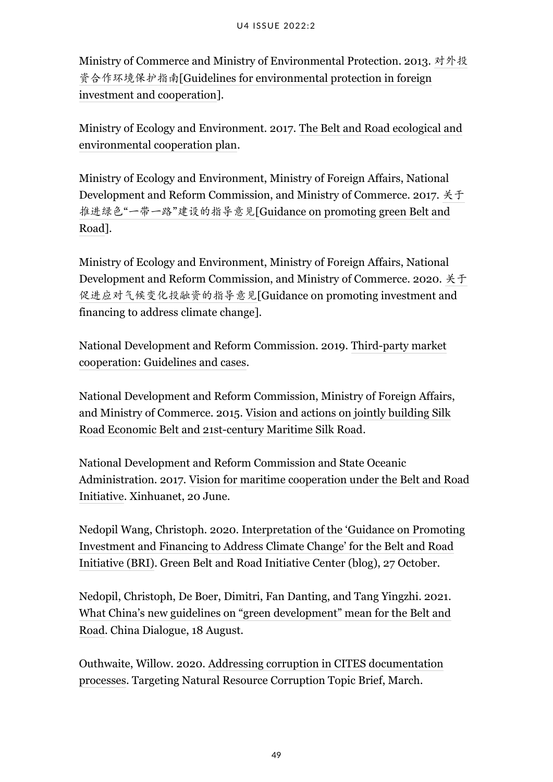Ministry of Commerce and Ministry of Environmental Protection. 2013. [对外投](http://www.mofcom.gov.cn/article/b/bf/201302/20130200039930.shtml) [资合作环境保护指南](http://www.mofcom.gov.cn/article/b/bf/201302/20130200039930.shtml)[[Guidelines for environmental protection in foreign](http://english.mofcom.gov.cn/article/policyrelease/bbb/201303/20130300043226.shtml) [investment and cooperation](http://english.mofcom.gov.cn/article/policyrelease/bbb/201303/20130300043226.shtml)].

Ministry of Ecology and Environment. 2017. [The Belt and Road ecological and](http://english.mee.gov.cn/Resources/Policies/policies/Frameworkp1/201706/t20170628_416869.shtml) [environmental cooperation plan](http://english.mee.gov.cn/Resources/Policies/policies/Frameworkp1/201706/t20170628_416869.shtml).

Ministry of Ecology and Environment, Ministry of Foreign Affairs, National Development and Reform Commission, and Ministry of Commerce. 2017. [关于](https://www.mee.gov.cn/gkml/hbb/bwj/201705/t20170505_413602.htm) 推进绿色"一带一路"[建设的指导意见](https://www.mee.gov.cn/gkml/hbb/bwj/201705/t20170505_413602.htm)[\[Guidance on promoting green Belt and](http://english.mee.gov.cn/Resources/Policies/policies/Frameworkp1/201706/t20170628_416864.shtml) [Road\]](http://english.mee.gov.cn/Resources/Policies/policies/Frameworkp1/201706/t20170628_416864.shtml).

Ministry of Ecology and Environment, Ministry of Foreign Affairs, National Development and Reform Commission, and Ministry of Commerce. 2020. [关于](https://www.mee.gov.cn/xxgk2018/xxgk/xxgk03/202010/t20201026_804792.html) [促进应对气候变化投融资的指导意见](https://www.mee.gov.cn/xxgk2018/xxgk/xxgk03/202010/t20201026_804792.html)[Guidance on promoting investment and financing to address climate change].

National Development and Reform Commission. 2019. [Third-party market](https://www.ndrc.gov.cn/xxgk/jd/jd/201909/W020191025516078116764.pdf) [cooperation: Guidelines and cases](https://www.ndrc.gov.cn/xxgk/jd/jd/201909/W020191025516078116764.pdf).

National Development and Reform Commission, Ministry of Foreign Affairs, and Ministry of Commerce. 2015. [Vision and actions on jointly building Silk](http://de.china-embassy.org/det/zt/yidaiyilude/t1250293.htm) [Road Economic Belt and 21st-century Maritime Silk Road.](http://de.china-embassy.org/det/zt/yidaiyilude/t1250293.htm)

National Development and Reform Commission and State Oceanic Administration. 2017. [Vision for maritime cooperation under the Belt and Road](http://www.xinhuanet.com/english/2017-06/20/c_136380414.htm) [Initiative](http://www.xinhuanet.com/english/2017-06/20/c_136380414.htm). Xinhuanet, 20 June.

Nedopil Wang, Christoph. 2020. [Interpretation of the 'Guidance on Promoting](https://greenfdc.org/interpretation-of-the-guidance-on-promoting-investment-and-financing-to-address-climate-change-for-the-belt-and-road-initiative-bri/) [Investment and Financing to Address Climate Change' for the Belt and Road](https://greenfdc.org/interpretation-of-the-guidance-on-promoting-investment-and-financing-to-address-climate-change-for-the-belt-and-road-initiative-bri/) [Initiative \(BRI\)](https://greenfdc.org/interpretation-of-the-guidance-on-promoting-investment-and-financing-to-address-climate-change-for-the-belt-and-road-initiative-bri/). Green Belt and Road Initiative Center (blog), 27 October.

Nedopil, Christoph, De Boer, Dimitri, Fan Danting, and Tang Yingzhi. 2021. [What China's new guidelines on "green development" mean for the Belt and](https://chinadialogue.net/en/business/what-chinas-new-guidelines-on-green-development-mean-for-the-belt-and-road/) [Road.](https://chinadialogue.net/en/business/what-chinas-new-guidelines-on-green-development-mean-for-the-belt-and-road/) China Dialogue, 18 August.

Outhwaite, Willow. 2020. [Addressing corruption in CITES documentation](https://www.traffic.org/site/assets/files/12675/topic-brief-addressing-corruption-in-cites-documentation-processes.pdf) [processes.](https://www.traffic.org/site/assets/files/12675/topic-brief-addressing-corruption-in-cites-documentation-processes.pdf) Targeting Natural Resource Corruption Topic Brief, March.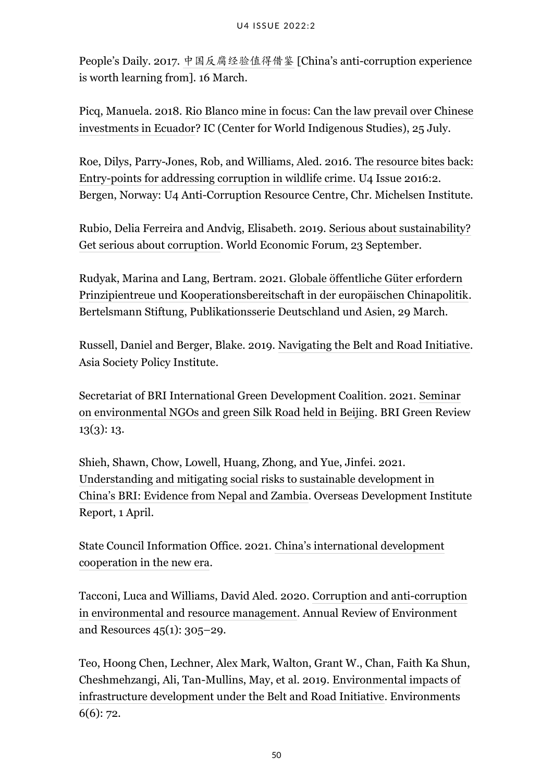People's Daily. 2017. [中国反腐经验值得借鉴](http://fanfu.people.com.cn/n1/2017/0316/c64371-29148062.html) [China's anti-corruption experience is worth learning from]. 16 March.

Picq, Manuela. 2018. [Rio Blanco mine in focus: Can the law prevail over Chinese](https://intercontinentalcry.org/can-the-law-prevail-over-chinese-investments-in-ecuador/) [investments in Ecuador](https://intercontinentalcry.org/can-the-law-prevail-over-chinese-investments-in-ecuador/)? IC (Center for World Indigenous Studies), 25 July.

Roe, Dilys, Parry-Jones, Rob, and Williams, Aled. 2016. [The resource bites back:](https://www.u4.no/publications/the-resource-bites-back-entry-points-for-addressing-corruption-in-wildlife-crime) [Entry-points for addressing corruption in wildlife crime.](https://www.u4.no/publications/the-resource-bites-back-entry-points-for-addressing-corruption-in-wildlife-crime) U4 Issue 2016:2. Bergen, Norway: U4 Anti-Corruption Resource Centre, Chr. Michelsen Institute.

Rubio, Delia Ferreira and Andvig, Elisabeth. 2019. [Serious about sustainability?](https://www.weforum.org/agenda/2019/09/serious-about-sustainability-get-serious-about-corruption/) [Get serious about corruption](https://www.weforum.org/agenda/2019/09/serious-about-sustainability-get-serious-about-corruption/). World Economic Forum, 23 September.

Rudyak, Marina and Lang, Bertram. 2021. [Globale öffentliche Güter erfordern](https://www.bertelsmann-stiftung.de/de/unsere-projekte/deutschland-und-asien/publikationsserie-marina-rudyak-und-bertram-lang) [Prinzipientreue und Kooperationsbereitschaft in der europäischen Chinapolitik.](https://www.bertelsmann-stiftung.de/de/unsere-projekte/deutschland-und-asien/publikationsserie-marina-rudyak-und-bertram-lang) Bertelsmann Stiftung, Publikationsserie Deutschland und Asien, 29 March.

Russell, Daniel and Berger, Blake. 2019. [Navigating the Belt and Road Initiative](https://asiasociety.org/sites/default/files/2019-06/Navigating%2520the%2520Belt%2520and%2520Road%2520Initiative_2.pdf). Asia Society Policy Institute.

Secretariat of BRI International Green Development Coalition. 2021. [Seminar](http://en.brigc.net/Media_Center/BRI_Green_Review/2021/202107/P020210729465376906569.pdf) [on environmental NGOs and green Silk Road held in Beijing](http://en.brigc.net/Media_Center/BRI_Green_Review/2021/202107/P020210729465376906569.pdf). BRI Green Review 13(3): 13.

Shieh, Shawn, Chow, Lowell, Huang, Zhong, and Yue, Jinfei. 2021. [Understanding and mitigating social risks to sustainable development in](https://odi.org/en/publications/understanding-and-mitigating-social-risks-to-sustainable-development-in-chinas-bri-evidence-from-nepal-and-zambia/) [China's BRI: Evidence from Nepal and Zambia](https://odi.org/en/publications/understanding-and-mitigating-social-risks-to-sustainable-development-in-chinas-bri-evidence-from-nepal-and-zambia/). Overseas Development Institute Report, 1 April.

State Council Information Office. 2021. [China's international development](https://www.en84.com/10431.html) [cooperation in the new era.](https://www.en84.com/10431.html)

Tacconi, Luca and Williams, David Aled. 2020. [Corruption and anti-corruption](https://www.annualreviews.org/doi/10.1146/annurev-environ-012320-083949) [in environmental and resource management.](https://www.annualreviews.org/doi/10.1146/annurev-environ-012320-083949) Annual Review of Environment and Resources 45(1): 305–29.

Teo, Hoong Chen, Lechner, Alex Mark, Walton, Grant W., Chan, Faith Ka Shun, Cheshmehzangi, Ali, Tan-Mullins, May, et al. 2019. [Environmental impacts of](https://www.mdpi.com/2076-3298/6/6/72) [infrastructure development under the Belt and Road Initiative.](https://www.mdpi.com/2076-3298/6/6/72) Environments 6(6): 72.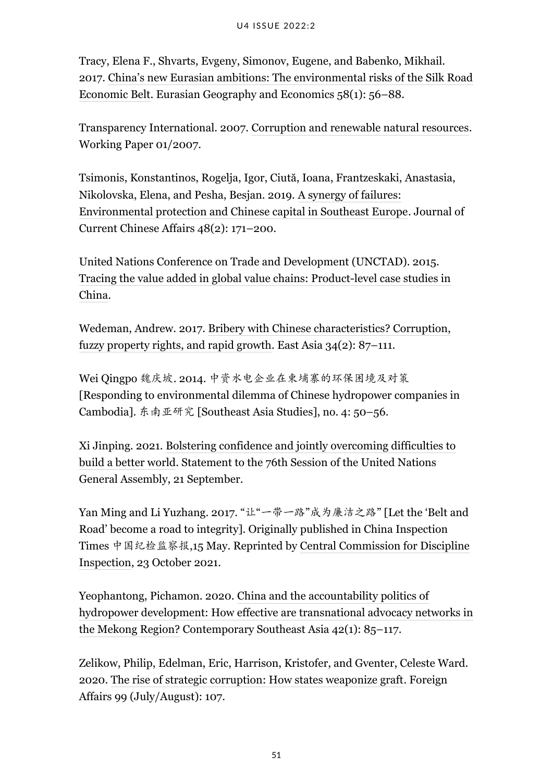Tracy, Elena F., Shvarts, Evgeny, Simonov, Eugene, and Babenko, Mikhail. 2017. [China's new Eurasian ambitions: The environmental risks of the Silk Road](https://www.tandfonline.com/doi/full/10.1080/15387216.2017.1295876) [Economic Belt](https://www.tandfonline.com/doi/full/10.1080/15387216.2017.1295876). Eurasian Geography and Economics 58(1): 56–88.

Transparency International. 2007. [Corruption and renewable natural resources](https://www.transparency.org/en/publications/working-paper-01-2007-corruption-and-renewable-natural-resources). Working Paper 01/2007.

Tsimonis, Konstantinos, Rogelja, Igor, Ciută, Ioana, Frantzeskaki, Anastasia, Nikolovska, Elena, and Pesha, Besjan. 2019. [A synergy of failures:](https://journals.sagepub.com/doi/10.1177/1868102620919861) [Environmental protection and Chinese capital in Southeast Europe.](https://journals.sagepub.com/doi/10.1177/1868102620919861) Journal of Current Chinese Affairs 48(2): 171–200.

United Nations Conference on Trade and Development (UNCTAD). 2015. [Tracing the value added in global value chains: Product-level case studies in](https://unctad.org/system/files/official-document/ditctncd2015d1_en.pdf) [China](https://unctad.org/system/files/official-document/ditctncd2015d1_en.pdf).

Wedeman, Andrew. 2017. [Bribery with Chinese characteristics? Corruption,](https://link.springer.com/article/10.1007/s12140-017-9272-3) [fuzzy property rights, and rapid growth.](https://link.springer.com/article/10.1007/s12140-017-9272-3) East Asia 34(2): 87–111.

Wei Qingpo 魏庆坡. 2014. 中资水电企业在柬埔寨的环保困境及对策 [Responding to environmental dilemma of Chinese hydropower companies in Cambodia]. 东南亚研究 [Southeast Asia Studies], no. 4: 50–56.

Xi Jinping. 2021. [Bolstering confidence and jointly overcoming difficulties to](https://estatements.unmeetings.org/estatements/10.0010/20210921/AT2JoAvm71nq/KaLk3d9ECB53_en.pdf) [build a better world](https://estatements.unmeetings.org/estatements/10.0010/20210921/AT2JoAvm71nq/KaLk3d9ECB53_en.pdf). Statement to the 76th Session of the United Nations General Assembly, 21 September.

Yan Ming and Li Yuzhang. 2017. "让"一带一路"成为廉洁之路" [Let the 'Belt and Road' become a road to integrity]. Originally published in China Inspection Times 中国纪检监察报,15 May. Reprinted by [Central Commission for Discipline](https://www.ccdi.gov.cn/yaowen/201705/t20170515_147253.html) [Inspection](https://www.ccdi.gov.cn/yaowen/201705/t20170515_147253.html), 23 October 2021.

Yeophantong, Pichamon. 2020. [China and the accountability politics of](https://www.jstor.org/stable/26937785) [hydropower development: How effective are transnational advocacy networks in](https://www.jstor.org/stable/26937785) [the Mekong Region?](https://www.jstor.org/stable/26937785) Contemporary Southeast Asia 42(1): 85–117.

Zelikow, Philip, Edelman, Eric, Harrison, Kristofer, and Gventer, Celeste Ward. 2020. [The rise of strategic corruption: How states weaponize graft.](https://heinonline.org/HOL/LandingPage?handle=hein.journals/fora99&div=104&id=&page=) Foreign Affairs 99 (July/August): 107.